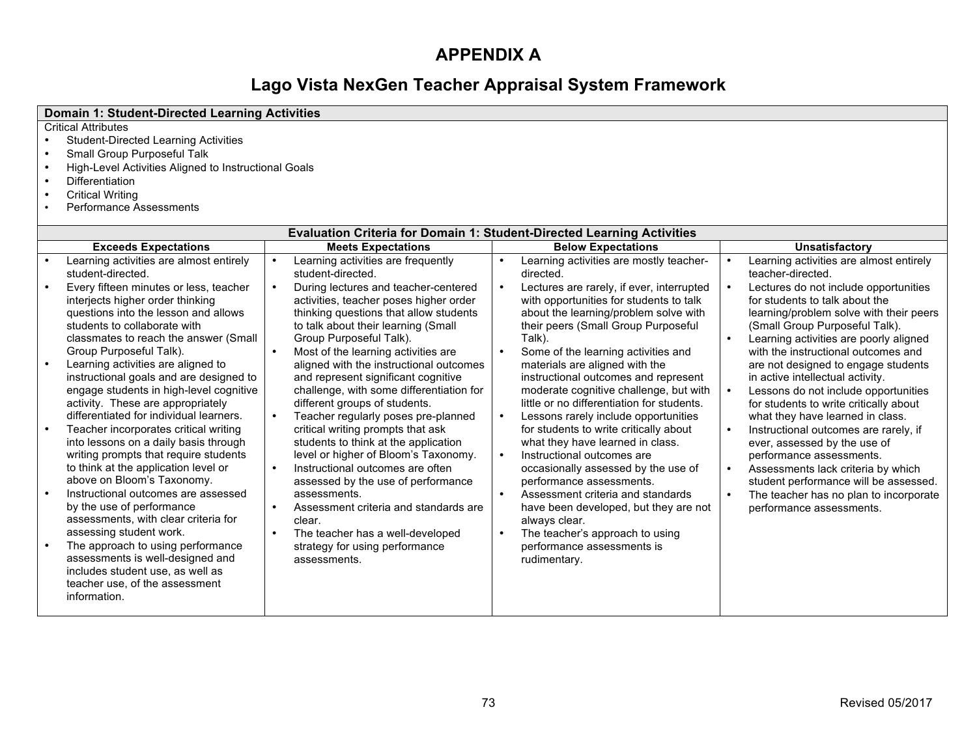# **APPENDIX A**

# **Lago Vista NexGen Teacher Appraisal System Framework**

| <b>Domain 1: Student-Directed Learning Activities</b>                                                                                                                                                                                                                                                                                                                                                                                                                                                                                                                                                                                                                                                                                                                                                                                                                                                                            |                                                                                                                                                                                                                                                                                                                                                                                                                                                                                                                                                                                                                                                                                                                                                                                                                                                                                      |                                                                                                                                                                                                                                                                                                                                                                                                                                                                                                                                                                                                                                                                                                                                                                                                                                                                                                                                                   |                                                                                                                                                                                                                                                                                                                                                                                                                                                                                                                                                                                                                                                                                                                                                                               |
|----------------------------------------------------------------------------------------------------------------------------------------------------------------------------------------------------------------------------------------------------------------------------------------------------------------------------------------------------------------------------------------------------------------------------------------------------------------------------------------------------------------------------------------------------------------------------------------------------------------------------------------------------------------------------------------------------------------------------------------------------------------------------------------------------------------------------------------------------------------------------------------------------------------------------------|--------------------------------------------------------------------------------------------------------------------------------------------------------------------------------------------------------------------------------------------------------------------------------------------------------------------------------------------------------------------------------------------------------------------------------------------------------------------------------------------------------------------------------------------------------------------------------------------------------------------------------------------------------------------------------------------------------------------------------------------------------------------------------------------------------------------------------------------------------------------------------------|---------------------------------------------------------------------------------------------------------------------------------------------------------------------------------------------------------------------------------------------------------------------------------------------------------------------------------------------------------------------------------------------------------------------------------------------------------------------------------------------------------------------------------------------------------------------------------------------------------------------------------------------------------------------------------------------------------------------------------------------------------------------------------------------------------------------------------------------------------------------------------------------------------------------------------------------------|-------------------------------------------------------------------------------------------------------------------------------------------------------------------------------------------------------------------------------------------------------------------------------------------------------------------------------------------------------------------------------------------------------------------------------------------------------------------------------------------------------------------------------------------------------------------------------------------------------------------------------------------------------------------------------------------------------------------------------------------------------------------------------|
| <b>Critical Attributes</b><br><b>Student-Directed Learning Activities</b><br>$\bullet$<br>Small Group Purposeful Talk<br>$\bullet$<br>High-Level Activities Aligned to Instructional Goals<br>$\bullet$<br><b>Differentiation</b><br>$\bullet$<br><b>Critical Writing</b><br>$\bullet$<br><b>Performance Assessments</b>                                                                                                                                                                                                                                                                                                                                                                                                                                                                                                                                                                                                         |                                                                                                                                                                                                                                                                                                                                                                                                                                                                                                                                                                                                                                                                                                                                                                                                                                                                                      |                                                                                                                                                                                                                                                                                                                                                                                                                                                                                                                                                                                                                                                                                                                                                                                                                                                                                                                                                   |                                                                                                                                                                                                                                                                                                                                                                                                                                                                                                                                                                                                                                                                                                                                                                               |
|                                                                                                                                                                                                                                                                                                                                                                                                                                                                                                                                                                                                                                                                                                                                                                                                                                                                                                                                  | <b>Evaluation Criteria for Domain 1: Student-Directed Learning Activities</b>                                                                                                                                                                                                                                                                                                                                                                                                                                                                                                                                                                                                                                                                                                                                                                                                        |                                                                                                                                                                                                                                                                                                                                                                                                                                                                                                                                                                                                                                                                                                                                                                                                                                                                                                                                                   |                                                                                                                                                                                                                                                                                                                                                                                                                                                                                                                                                                                                                                                                                                                                                                               |
| <b>Exceeds Expectations</b>                                                                                                                                                                                                                                                                                                                                                                                                                                                                                                                                                                                                                                                                                                                                                                                                                                                                                                      | <b>Meets Expectations</b>                                                                                                                                                                                                                                                                                                                                                                                                                                                                                                                                                                                                                                                                                                                                                                                                                                                            | <b>Below Expectations</b>                                                                                                                                                                                                                                                                                                                                                                                                                                                                                                                                                                                                                                                                                                                                                                                                                                                                                                                         | <b>Unsatisfactory</b>                                                                                                                                                                                                                                                                                                                                                                                                                                                                                                                                                                                                                                                                                                                                                         |
| Learning activities are almost entirely<br>student-directed.<br>Every fifteen minutes or less, teacher<br>interjects higher order thinking<br>questions into the lesson and allows<br>students to collaborate with<br>classmates to reach the answer (Small<br>Group Purposeful Talk).<br>Learning activities are aligned to<br>$\bullet$<br>instructional goals and are designed to<br>engage students in high-level cognitive<br>activity. These are appropriately<br>differentiated for individual learners.<br>Teacher incorporates critical writing<br>into lessons on a daily basis through<br>writing prompts that require students<br>to think at the application level or<br>above on Bloom's Taxonomy.<br>Instructional outcomes are assessed<br>by the use of performance<br>assessments, with clear criteria for<br>assessing student work.<br>The approach to using performance<br>assessments is well-designed and | Learning activities are frequently<br>$\bullet$<br>student-directed.<br>During lectures and teacher-centered<br>$\bullet$<br>activities, teacher poses higher order<br>thinking questions that allow students<br>to talk about their learning (Small<br>Group Purposeful Talk).<br>Most of the learning activities are<br>aligned with the instructional outcomes<br>and represent significant cognitive<br>challenge, with some differentiation for<br>different groups of students.<br>Teacher regularly poses pre-planned<br>critical writing prompts that ask<br>students to think at the application<br>level or higher of Bloom's Taxonomy.<br>Instructional outcomes are often<br>assessed by the use of performance<br>assessments.<br>Assessment criteria and standards are<br>clear.<br>The teacher has a well-developed<br>strategy for using performance<br>assessments. | $\bullet$<br>Learning activities are mostly teacher-<br>directed.<br>$\bullet$<br>Lectures are rarely, if ever, interrupted<br>with opportunities for students to talk<br>about the learning/problem solve with<br>their peers (Small Group Purposeful<br>Talk).<br>$\bullet$<br>Some of the learning activities and<br>materials are aligned with the<br>instructional outcomes and represent<br>moderate cognitive challenge, but with<br>little or no differentiation for students.<br>Lessons rarely include opportunities<br>$\bullet$<br>for students to write critically about<br>what they have learned in class.<br>$\bullet$<br>Instructional outcomes are<br>occasionally assessed by the use of<br>performance assessments.<br>$\bullet$<br>Assessment criteria and standards<br>have been developed, but they are not<br>always clear.<br>The teacher's approach to using<br>$\bullet$<br>performance assessments is<br>rudimentary. | Learning activities are almost entirely<br>teacher-directed.<br>Lectures do not include opportunities<br>for students to talk about the<br>learning/problem solve with their peers<br>(Small Group Purposeful Talk).<br>Learning activities are poorly aligned<br>with the instructional outcomes and<br>are not designed to engage students<br>in active intellectual activity.<br>Lessons do not include opportunities<br>for students to write critically about<br>what they have learned in class.<br>Instructional outcomes are rarely, if<br>ever, assessed by the use of<br>performance assessments.<br>Assessments lack criteria by which<br>student performance will be assessed.<br>The teacher has no plan to incorporate<br>$\bullet$<br>performance assessments. |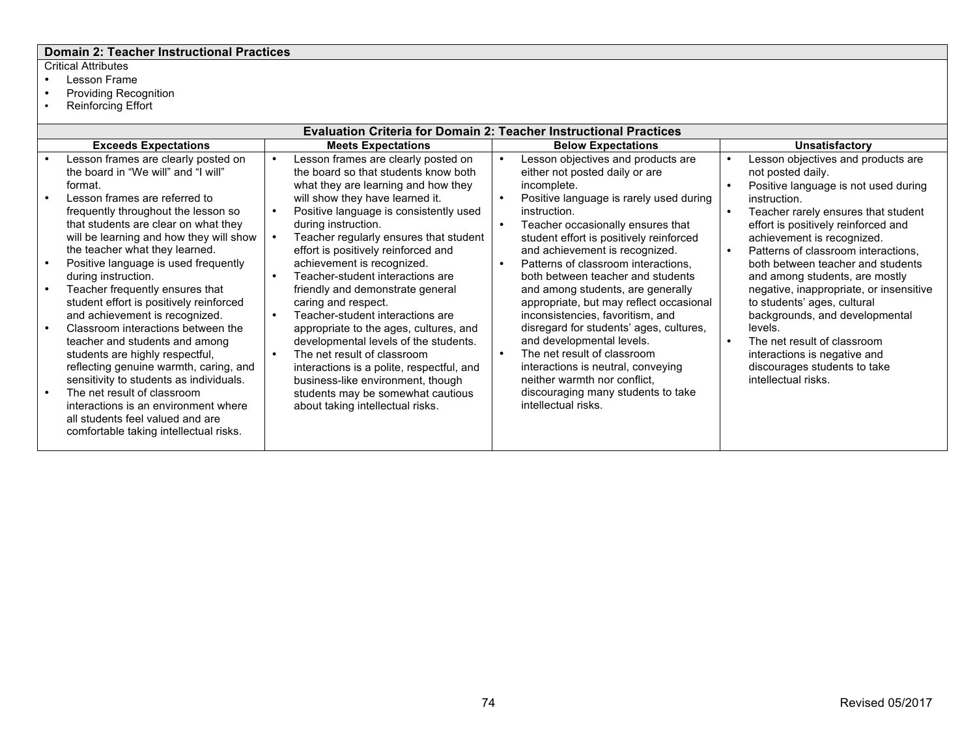# **Domain 2: Teacher Instructional Practices**

- Lesson Frame<br>• Providing Reco<br>• Reinforcing Effo
- Providing Recognition
- Reinforcing Effort

| <b>Evaluation Criteria for Domain 2: Teacher Instructional Practices</b>                                                                                                                                                                                                                                                                                                                                                                                                                                                                                           |  |                                                                                                                                                                                                                                                                                                                                                                                                                                                                                   |                                     |                                                                                                                                                                                                                                                                                                                                                                                                                                                                          |  |                                                                                                                                                                                                                                                                                                                                                         |  |  |
|--------------------------------------------------------------------------------------------------------------------------------------------------------------------------------------------------------------------------------------------------------------------------------------------------------------------------------------------------------------------------------------------------------------------------------------------------------------------------------------------------------------------------------------------------------------------|--|-----------------------------------------------------------------------------------------------------------------------------------------------------------------------------------------------------------------------------------------------------------------------------------------------------------------------------------------------------------------------------------------------------------------------------------------------------------------------------------|-------------------------------------|--------------------------------------------------------------------------------------------------------------------------------------------------------------------------------------------------------------------------------------------------------------------------------------------------------------------------------------------------------------------------------------------------------------------------------------------------------------------------|--|---------------------------------------------------------------------------------------------------------------------------------------------------------------------------------------------------------------------------------------------------------------------------------------------------------------------------------------------------------|--|--|
| <b>Exceeds Expectations</b>                                                                                                                                                                                                                                                                                                                                                                                                                                                                                                                                        |  | <b>Meets Expectations</b>                                                                                                                                                                                                                                                                                                                                                                                                                                                         |                                     | <b>Below Expectations</b>                                                                                                                                                                                                                                                                                                                                                                                                                                                |  | <b>Unsatisfactory</b>                                                                                                                                                                                                                                                                                                                                   |  |  |
| Lesson frames are clearly posted on<br>the board in "We will" and "I will"<br>format.<br>Lesson frames are referred to<br>frequently throughout the lesson so<br>that students are clear on what they<br>will be learning and how they will show                                                                                                                                                                                                                                                                                                                   |  | Lesson frames are clearly posted on<br>the board so that students know both<br>what they are learning and how they<br>will show they have learned it.<br>Positive language is consistently used<br>during instruction.<br>Teacher regularly ensures that student                                                                                                                                                                                                                  | $\bullet$<br>$\bullet$<br>$\bullet$ | Lesson objectives and products are<br>either not posted daily or are<br>incomplete.<br>Positive language is rarely used during<br>instruction.<br>Teacher occasionally ensures that<br>student effort is positively reinforced                                                                                                                                                                                                                                           |  | Lesson objectives and products are<br>not posted daily.<br>Positive language is not used during<br>instruction.<br>Teacher rarely ensures that student<br>effort is positively reinforced and<br>achievement is recognized.                                                                                                                             |  |  |
| the teacher what they learned.<br>Positive language is used frequently<br>during instruction.<br>Teacher frequently ensures that<br>student effort is positively reinforced<br>and achievement is recognized.<br>Classroom interactions between the<br>teacher and students and among<br>students are highly respectful,<br>reflecting genuine warmth, caring, and<br>sensitivity to students as individuals.<br>The net result of classroom<br>interactions is an environment where<br>all students feel valued and are<br>comfortable taking intellectual risks. |  | effort is positively reinforced and<br>achievement is recognized.<br>Teacher-student interactions are<br>friendly and demonstrate general<br>caring and respect.<br>Teacher-student interactions are<br>appropriate to the ages, cultures, and<br>developmental levels of the students.<br>The net result of classroom<br>interactions is a polite, respectful, and<br>business-like environment, though<br>students may be somewhat cautious<br>about taking intellectual risks. | $\bullet$<br>$\bullet$              | and achievement is recognized.<br>Patterns of classroom interactions,<br>both between teacher and students<br>and among students, are generally<br>appropriate, but may reflect occasional<br>inconsistencies, favoritism, and<br>disregard for students' ages, cultures,<br>and developmental levels.<br>The net result of classroom<br>interactions is neutral, conveying<br>neither warmth nor conflict.<br>discouraging many students to take<br>intellectual risks. |  | Patterns of classroom interactions.<br>both between teacher and students<br>and among students, are mostly<br>negative, inappropriate, or insensitive<br>to students' ages, cultural<br>backgrounds, and developmental<br>levels.<br>The net result of classroom<br>interactions is negative and<br>discourages students to take<br>intellectual risks. |  |  |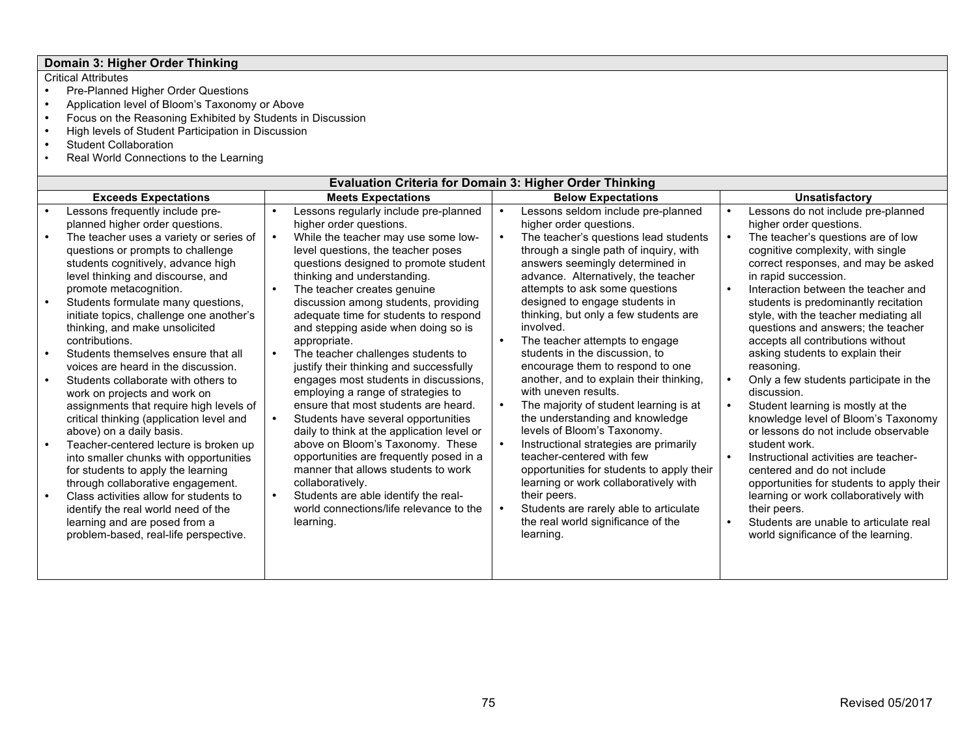# **Domain 3: Higher Order Thinking**

- Pre-Planned Higher Order Questions
- Application level of Bloom's Taxonomy or Above
- Focus on the Reasoning Exhibited by Students in Discussion
- High levels of Student Participation in Discussion
- Student Collaboration<br>• Real World Connection
- Real World Connections to the Learning

|                                                                            | <b>Evaluation Criteria for Domain 3: Higher Order Thinking</b>                                                                                                                                                                                                                                                                                                                                                                                                                                                                                                                                                                                                                                                                                                                                                                                                                                                           |                           |                                                                                                                                                                                                                                                                                                                                                                                                                                                                                                                                                                                                                                                                                                                                                                                                                                                                 |  |                                                                                                                                                                                                                                                                                                                                                                                                                                                                                                                                                                                                                                                                                                                                                                                                                                                      |                       |                                                                                                                                                                                                                                                                                                                                                                                                                                                                                                                                                                                                                                                                                                                                                                                                                                                          |  |
|----------------------------------------------------------------------------|--------------------------------------------------------------------------------------------------------------------------------------------------------------------------------------------------------------------------------------------------------------------------------------------------------------------------------------------------------------------------------------------------------------------------------------------------------------------------------------------------------------------------------------------------------------------------------------------------------------------------------------------------------------------------------------------------------------------------------------------------------------------------------------------------------------------------------------------------------------------------------------------------------------------------|---------------------------|-----------------------------------------------------------------------------------------------------------------------------------------------------------------------------------------------------------------------------------------------------------------------------------------------------------------------------------------------------------------------------------------------------------------------------------------------------------------------------------------------------------------------------------------------------------------------------------------------------------------------------------------------------------------------------------------------------------------------------------------------------------------------------------------------------------------------------------------------------------------|--|------------------------------------------------------------------------------------------------------------------------------------------------------------------------------------------------------------------------------------------------------------------------------------------------------------------------------------------------------------------------------------------------------------------------------------------------------------------------------------------------------------------------------------------------------------------------------------------------------------------------------------------------------------------------------------------------------------------------------------------------------------------------------------------------------------------------------------------------------|-----------------------|----------------------------------------------------------------------------------------------------------------------------------------------------------------------------------------------------------------------------------------------------------------------------------------------------------------------------------------------------------------------------------------------------------------------------------------------------------------------------------------------------------------------------------------------------------------------------------------------------------------------------------------------------------------------------------------------------------------------------------------------------------------------------------------------------------------------------------------------------------|--|
|                                                                            | <b>Exceeds Expectations</b>                                                                                                                                                                                                                                                                                                                                                                                                                                                                                                                                                                                                                                                                                                                                                                                                                                                                                              | <b>Meets Expectations</b> |                                                                                                                                                                                                                                                                                                                                                                                                                                                                                                                                                                                                                                                                                                                                                                                                                                                                 |  | <b>Below Expectations</b>                                                                                                                                                                                                                                                                                                                                                                                                                                                                                                                                                                                                                                                                                                                                                                                                                            | <b>Unsatisfactory</b> |                                                                                                                                                                                                                                                                                                                                                                                                                                                                                                                                                                                                                                                                                                                                                                                                                                                          |  |
| $\bullet$                                                                  | Lessons frequently include pre-<br>planned higher order questions.                                                                                                                                                                                                                                                                                                                                                                                                                                                                                                                                                                                                                                                                                                                                                                                                                                                       |                           | Lessons regularly include pre-planned<br>higher order questions.                                                                                                                                                                                                                                                                                                                                                                                                                                                                                                                                                                                                                                                                                                                                                                                                |  | Lessons seldom include pre-planned<br>higher order questions.                                                                                                                                                                                                                                                                                                                                                                                                                                                                                                                                                                                                                                                                                                                                                                                        |                       | Lessons do not include pre-planned<br>higher order questions.                                                                                                                                                                                                                                                                                                                                                                                                                                                                                                                                                                                                                                                                                                                                                                                            |  |
| $\bullet$<br>$\bullet$<br>$\bullet$<br>$\bullet$<br>$\bullet$<br>$\bullet$ | The teacher uses a variety or series of<br>questions or prompts to challenge<br>students cognitively, advance high<br>level thinking and discourse, and<br>promote metacognition.<br>Students formulate many questions,<br>initiate topics, challenge one another's<br>thinking, and make unsolicited<br>contributions.<br>Students themselves ensure that all<br>voices are heard in the discussion.<br>Students collaborate with others to<br>work on projects and work on<br>assignments that require high levels of<br>critical thinking (application level and<br>above) on a daily basis.<br>Teacher-centered lecture is broken up<br>into smaller chunks with opportunities<br>for students to apply the learning<br>through collaborative engagement.<br>Class activities allow for students to<br>identify the real world need of the<br>learning and are posed from a<br>problem-based, real-life perspective. | $\bullet$<br>$\bullet$    | While the teacher may use some low-<br>level questions, the teacher poses<br>questions designed to promote student<br>thinking and understanding.<br>The teacher creates genuine<br>discussion among students, providing<br>adequate time for students to respond<br>and stepping aside when doing so is<br>appropriate.<br>The teacher challenges students to<br>justify their thinking and successfully<br>engages most students in discussions,<br>employing a range of strategies to<br>ensure that most students are heard.<br>Students have several opportunities<br>daily to think at the application level or<br>above on Bloom's Taxonomy. These<br>opportunities are frequently posed in a<br>manner that allows students to work<br>collaboratively.<br>Students are able identify the real-<br>world connections/life relevance to the<br>learning. |  | The teacher's questions lead students<br>through a single path of inquiry, with<br>answers seemingly determined in<br>advance. Alternatively, the teacher<br>attempts to ask some questions<br>designed to engage students in<br>thinking, but only a few students are<br>involved.<br>The teacher attempts to engage<br>students in the discussion, to<br>encourage them to respond to one<br>another, and to explain their thinking,<br>with uneven results.<br>The majority of student learning is at<br>the understanding and knowledge<br>levels of Bloom's Taxonomy.<br>Instructional strategies are primarily<br>teacher-centered with few<br>opportunities for students to apply their<br>learning or work collaboratively with<br>their peers.<br>Students are rarely able to articulate<br>the real world significance of the<br>learning. |                       | The teacher's questions are of low<br>cognitive complexity, with single<br>correct responses, and may be asked<br>in rapid succession.<br>Interaction between the teacher and<br>students is predominantly recitation<br>style, with the teacher mediating all<br>questions and answers; the teacher<br>accepts all contributions without<br>asking students to explain their<br>reasoning.<br>Only a few students participate in the<br>discussion.<br>Student learning is mostly at the<br>knowledge level of Bloom's Taxonomy<br>or lessons do not include observable<br>student work.<br>Instructional activities are teacher-<br>centered and do not include<br>opportunities for students to apply their<br>learning or work collaboratively with<br>their peers.<br>Students are unable to articulate real<br>world significance of the learning. |  |
|                                                                            |                                                                                                                                                                                                                                                                                                                                                                                                                                                                                                                                                                                                                                                                                                                                                                                                                                                                                                                          |                           |                                                                                                                                                                                                                                                                                                                                                                                                                                                                                                                                                                                                                                                                                                                                                                                                                                                                 |  |                                                                                                                                                                                                                                                                                                                                                                                                                                                                                                                                                                                                                                                                                                                                                                                                                                                      |                       |                                                                                                                                                                                                                                                                                                                                                                                                                                                                                                                                                                                                                                                                                                                                                                                                                                                          |  |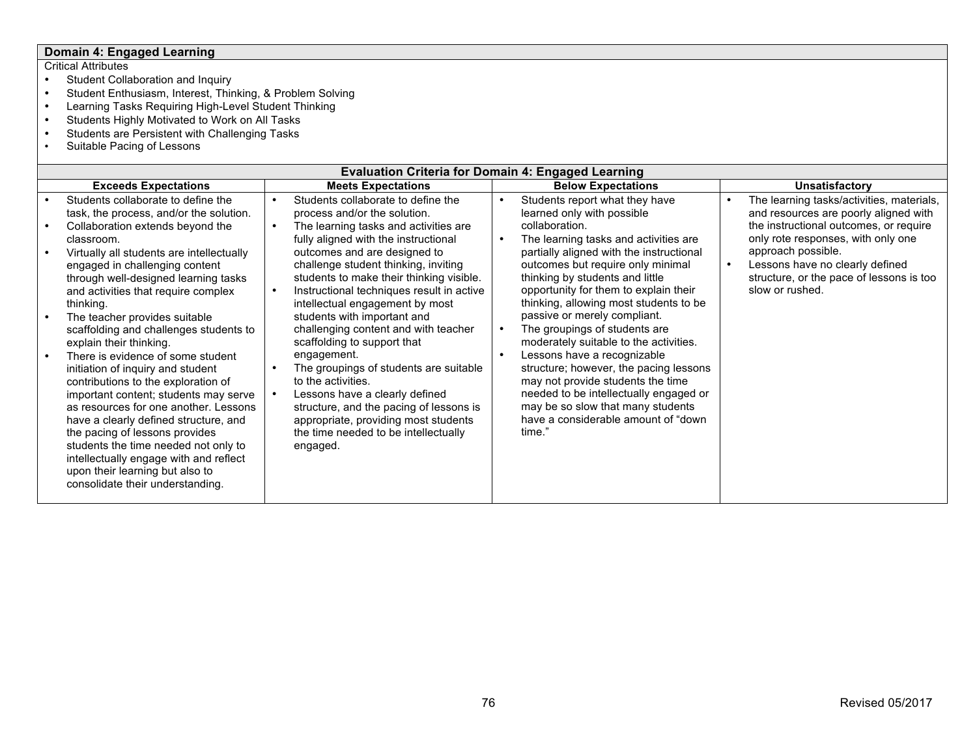# **Domain 4: Engaged Learning**

- Student Collaboration and Inquiry<br>• Student Enthusiasm. Interest. Thin
- Student Enthusiasm, Interest, Thinking, & Problem Solving<br>• Learning Tasks Requiring High-Level Student Thinking
- Learning Tasks Requiring High-Level Student Thinking
- Students Highly Motivated to Work on All Tasks
- Students are Persistent with Challenging Tasks<br>• Suitable Pacing of Lessons
- Suitable Pacing of Lessons

| <b>Evaluation Criteria for Domain 4: Engaged Learning</b>                                                                                                                                                                                                                                                                                                                                                                                                                                                                                    |                                                                                                                                                                                                                                                                                                                                                                                     |           |                                                                                                                                                                                                                                                                                                                                                                                               |  |                                           |  |  |  |
|----------------------------------------------------------------------------------------------------------------------------------------------------------------------------------------------------------------------------------------------------------------------------------------------------------------------------------------------------------------------------------------------------------------------------------------------------------------------------------------------------------------------------------------------|-------------------------------------------------------------------------------------------------------------------------------------------------------------------------------------------------------------------------------------------------------------------------------------------------------------------------------------------------------------------------------------|-----------|-----------------------------------------------------------------------------------------------------------------------------------------------------------------------------------------------------------------------------------------------------------------------------------------------------------------------------------------------------------------------------------------------|--|-------------------------------------------|--|--|--|
| <b>Exceeds Expectations</b>                                                                                                                                                                                                                                                                                                                                                                                                                                                                                                                  | <b>Meets Expectations</b>                                                                                                                                                                                                                                                                                                                                                           |           | <b>Below Expectations</b>                                                                                                                                                                                                                                                                                                                                                                     |  | <b>Unsatisfactory</b>                     |  |  |  |
| Students collaborate to define the                                                                                                                                                                                                                                                                                                                                                                                                                                                                                                           | Students collaborate to define the                                                                                                                                                                                                                                                                                                                                                  | $\bullet$ | Students report what they have                                                                                                                                                                                                                                                                                                                                                                |  | The learning tasks/activities, materials, |  |  |  |
| task, the process, and/or the solution.                                                                                                                                                                                                                                                                                                                                                                                                                                                                                                      | process and/or the solution.                                                                                                                                                                                                                                                                                                                                                        |           | learned only with possible                                                                                                                                                                                                                                                                                                                                                                    |  | and resources are poorly aligned with     |  |  |  |
| Collaboration extends beyond the                                                                                                                                                                                                                                                                                                                                                                                                                                                                                                             | The learning tasks and activities are                                                                                                                                                                                                                                                                                                                                               |           | collaboration.                                                                                                                                                                                                                                                                                                                                                                                |  | the instructional outcomes, or require    |  |  |  |
| classroom.                                                                                                                                                                                                                                                                                                                                                                                                                                                                                                                                   | fully aligned with the instructional                                                                                                                                                                                                                                                                                                                                                |           | The learning tasks and activities are                                                                                                                                                                                                                                                                                                                                                         |  | only rote responses, with only one        |  |  |  |
| Virtually all students are intellectually                                                                                                                                                                                                                                                                                                                                                                                                                                                                                                    | outcomes and are designed to                                                                                                                                                                                                                                                                                                                                                        |           | partially aligned with the instructional                                                                                                                                                                                                                                                                                                                                                      |  | approach possible.                        |  |  |  |
|                                                                                                                                                                                                                                                                                                                                                                                                                                                                                                                                              |                                                                                                                                                                                                                                                                                                                                                                                     |           |                                                                                                                                                                                                                                                                                                                                                                                               |  | Lessons have no clearly defined           |  |  |  |
|                                                                                                                                                                                                                                                                                                                                                                                                                                                                                                                                              |                                                                                                                                                                                                                                                                                                                                                                                     |           |                                                                                                                                                                                                                                                                                                                                                                                               |  | structure, or the pace of lessons is too  |  |  |  |
|                                                                                                                                                                                                                                                                                                                                                                                                                                                                                                                                              |                                                                                                                                                                                                                                                                                                                                                                                     |           |                                                                                                                                                                                                                                                                                                                                                                                               |  |                                           |  |  |  |
|                                                                                                                                                                                                                                                                                                                                                                                                                                                                                                                                              |                                                                                                                                                                                                                                                                                                                                                                                     |           |                                                                                                                                                                                                                                                                                                                                                                                               |  |                                           |  |  |  |
|                                                                                                                                                                                                                                                                                                                                                                                                                                                                                                                                              |                                                                                                                                                                                                                                                                                                                                                                                     |           |                                                                                                                                                                                                                                                                                                                                                                                               |  |                                           |  |  |  |
|                                                                                                                                                                                                                                                                                                                                                                                                                                                                                                                                              |                                                                                                                                                                                                                                                                                                                                                                                     |           |                                                                                                                                                                                                                                                                                                                                                                                               |  |                                           |  |  |  |
|                                                                                                                                                                                                                                                                                                                                                                                                                                                                                                                                              |                                                                                                                                                                                                                                                                                                                                                                                     |           |                                                                                                                                                                                                                                                                                                                                                                                               |  |                                           |  |  |  |
|                                                                                                                                                                                                                                                                                                                                                                                                                                                                                                                                              |                                                                                                                                                                                                                                                                                                                                                                                     |           |                                                                                                                                                                                                                                                                                                                                                                                               |  |                                           |  |  |  |
|                                                                                                                                                                                                                                                                                                                                                                                                                                                                                                                                              | to the activities.                                                                                                                                                                                                                                                                                                                                                                  |           | may not provide students the time                                                                                                                                                                                                                                                                                                                                                             |  |                                           |  |  |  |
| important content; students may serve                                                                                                                                                                                                                                                                                                                                                                                                                                                                                                        | Lessons have a clearly defined                                                                                                                                                                                                                                                                                                                                                      |           | needed to be intellectually engaged or                                                                                                                                                                                                                                                                                                                                                        |  |                                           |  |  |  |
| as resources for one another. Lessons                                                                                                                                                                                                                                                                                                                                                                                                                                                                                                        | structure, and the pacing of lessons is                                                                                                                                                                                                                                                                                                                                             |           | may be so slow that many students                                                                                                                                                                                                                                                                                                                                                             |  |                                           |  |  |  |
| have a clearly defined structure, and                                                                                                                                                                                                                                                                                                                                                                                                                                                                                                        | appropriate, providing most students                                                                                                                                                                                                                                                                                                                                                |           |                                                                                                                                                                                                                                                                                                                                                                                               |  |                                           |  |  |  |
|                                                                                                                                                                                                                                                                                                                                                                                                                                                                                                                                              |                                                                                                                                                                                                                                                                                                                                                                                     |           |                                                                                                                                                                                                                                                                                                                                                                                               |  |                                           |  |  |  |
|                                                                                                                                                                                                                                                                                                                                                                                                                                                                                                                                              |                                                                                                                                                                                                                                                                                                                                                                                     |           |                                                                                                                                                                                                                                                                                                                                                                                               |  |                                           |  |  |  |
|                                                                                                                                                                                                                                                                                                                                                                                                                                                                                                                                              |                                                                                                                                                                                                                                                                                                                                                                                     |           |                                                                                                                                                                                                                                                                                                                                                                                               |  |                                           |  |  |  |
|                                                                                                                                                                                                                                                                                                                                                                                                                                                                                                                                              |                                                                                                                                                                                                                                                                                                                                                                                     |           |                                                                                                                                                                                                                                                                                                                                                                                               |  |                                           |  |  |  |
|                                                                                                                                                                                                                                                                                                                                                                                                                                                                                                                                              |                                                                                                                                                                                                                                                                                                                                                                                     |           |                                                                                                                                                                                                                                                                                                                                                                                               |  |                                           |  |  |  |
| engaged in challenging content<br>through well-designed learning tasks<br>and activities that require complex<br>thinking.<br>The teacher provides suitable<br>scaffolding and challenges students to<br>explain their thinking.<br>There is evidence of some student<br>initiation of inquiry and student<br>contributions to the exploration of<br>the pacing of lessons provides<br>students the time needed not only to<br>intellectually engage with and reflect<br>upon their learning but also to<br>consolidate their understanding. | challenge student thinking, inviting<br>students to make their thinking visible.<br>Instructional techniques result in active<br>intellectual engagement by most<br>students with important and<br>challenging content and with teacher<br>scaffolding to support that<br>engagement.<br>The groupings of students are suitable<br>the time needed to be intellectually<br>engaged. |           | outcomes but require only minimal<br>thinking by students and little<br>opportunity for them to explain their<br>thinking, allowing most students to be<br>passive or merely compliant.<br>The groupings of students are<br>moderately suitable to the activities.<br>Lessons have a recognizable<br>structure; however, the pacing lessons<br>have a considerable amount of "down"<br>time." |  | slow or rushed.                           |  |  |  |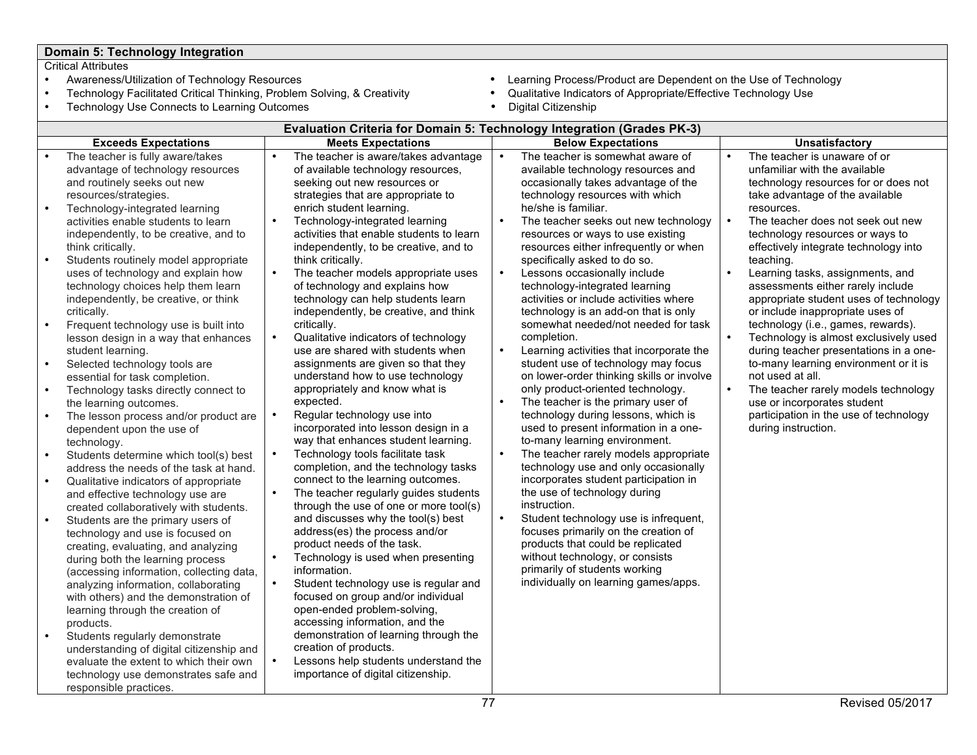# **Domain 5: Technology Integration**

- Critical Attributes<br>• Awareness/Utilization of Technology Resources
- Technology Facilitated Critical Thinking, Problem Solving, & Creativity **•** Qualitative Indicato<br>• Technology Use Connects to Learning Outcomes **(engine in Appropriate Technology Use Connects to Learning Outcomes**
- Technology Use Connects to Learning Outcomes
- Awareness/Utilization of Technology Resources **Learning Process/Product are Dependent on the Use of Technology**<br>• Technology Facilitated Critical Thinking, Problem Solving, & Creativity **·** Qualitative Indicators of Appr
	-
	-

|                                                                                                                                | Evaluation Criteria for Domain 5: Technology Integration (Grades PK-3)                                                                                                                                                                                                                                                                                                                                                                                                                                                                                                                                                                                                                                                                                                                                                                                                                                                                                                                                                                                                                                                                                                                                                                                                                                                                                                                                                                                                                                                |                                                                            |                                                                                                                                                                                                                                                                                                                                                                                                                                                                                                                                                                                                                                                                                                                                                                                                                                                                                                                                                                                                                                                                                                                                                                                                                                                                                                                                                                                                                                                                                     |                        |                                                                                                                                                                                                                                                                                                                                                                                                                                                                                                                                                                                                                                                                                                                                                                                                                                                                                                                                                                                                                                                                                                                                                                                                                                                                                 |                        |                                                                                                                                                                                                                                                                                                                                                                                                                                                                                                                                                                                                                                                                                                                                                                           |  |
|--------------------------------------------------------------------------------------------------------------------------------|-----------------------------------------------------------------------------------------------------------------------------------------------------------------------------------------------------------------------------------------------------------------------------------------------------------------------------------------------------------------------------------------------------------------------------------------------------------------------------------------------------------------------------------------------------------------------------------------------------------------------------------------------------------------------------------------------------------------------------------------------------------------------------------------------------------------------------------------------------------------------------------------------------------------------------------------------------------------------------------------------------------------------------------------------------------------------------------------------------------------------------------------------------------------------------------------------------------------------------------------------------------------------------------------------------------------------------------------------------------------------------------------------------------------------------------------------------------------------------------------------------------------------|----------------------------------------------------------------------------|-------------------------------------------------------------------------------------------------------------------------------------------------------------------------------------------------------------------------------------------------------------------------------------------------------------------------------------------------------------------------------------------------------------------------------------------------------------------------------------------------------------------------------------------------------------------------------------------------------------------------------------------------------------------------------------------------------------------------------------------------------------------------------------------------------------------------------------------------------------------------------------------------------------------------------------------------------------------------------------------------------------------------------------------------------------------------------------------------------------------------------------------------------------------------------------------------------------------------------------------------------------------------------------------------------------------------------------------------------------------------------------------------------------------------------------------------------------------------------------|------------------------|---------------------------------------------------------------------------------------------------------------------------------------------------------------------------------------------------------------------------------------------------------------------------------------------------------------------------------------------------------------------------------------------------------------------------------------------------------------------------------------------------------------------------------------------------------------------------------------------------------------------------------------------------------------------------------------------------------------------------------------------------------------------------------------------------------------------------------------------------------------------------------------------------------------------------------------------------------------------------------------------------------------------------------------------------------------------------------------------------------------------------------------------------------------------------------------------------------------------------------------------------------------------------------|------------------------|---------------------------------------------------------------------------------------------------------------------------------------------------------------------------------------------------------------------------------------------------------------------------------------------------------------------------------------------------------------------------------------------------------------------------------------------------------------------------------------------------------------------------------------------------------------------------------------------------------------------------------------------------------------------------------------------------------------------------------------------------------------------------|--|
|                                                                                                                                | <b>Exceeds Expectations</b>                                                                                                                                                                                                                                                                                                                                                                                                                                                                                                                                                                                                                                                                                                                                                                                                                                                                                                                                                                                                                                                                                                                                                                                                                                                                                                                                                                                                                                                                                           |                                                                            | <b>Meets Expectations</b>                                                                                                                                                                                                                                                                                                                                                                                                                                                                                                                                                                                                                                                                                                                                                                                                                                                                                                                                                                                                                                                                                                                                                                                                                                                                                                                                                                                                                                                           |                        | <b>Below Expectations</b>                                                                                                                                                                                                                                                                                                                                                                                                                                                                                                                                                                                                                                                                                                                                                                                                                                                                                                                                                                                                                                                                                                                                                                                                                                                       |                        | <b>Unsatisfactory</b>                                                                                                                                                                                                                                                                                                                                                                                                                                                                                                                                                                                                                                                                                                                                                     |  |
| $\bullet$<br>$\bullet$<br>$\bullet$<br>$\bullet$<br>$\bullet$<br>$\bullet$<br>$\bullet$<br>$\bullet$<br>$\bullet$<br>$\bullet$ | The teacher is fully aware/takes<br>advantage of technology resources<br>and routinely seeks out new<br>resources/strategies.<br>Technology-integrated learning<br>activities enable students to learn<br>independently, to be creative, and to<br>think critically.<br>Students routinely model appropriate<br>uses of technology and explain how<br>technology choices help them learn<br>independently, be creative, or think<br>critically.<br>Frequent technology use is built into<br>lesson design in a way that enhances<br>student learning.<br>Selected technology tools are<br>essential for task completion.<br>Technology tasks directly connect to<br>the learning outcomes.<br>The lesson process and/or product are<br>dependent upon the use of<br>technology.<br>Students determine which tool(s) best<br>address the needs of the task at hand.<br>Qualitative indicators of appropriate<br>and effective technology use are<br>created collaboratively with students.<br>Students are the primary users of<br>technology and use is focused on<br>creating, evaluating, and analyzing<br>during both the learning process<br>(accessing information, collecting data,<br>analyzing information, collaborating<br>with others) and the demonstration of<br>learning through the creation of<br>products.<br>Students regularly demonstrate<br>understanding of digital citizenship and<br>evaluate the extent to which their own<br>technology use demonstrates safe and<br>responsible practices. | $\bullet$<br>$\bullet$<br>$\bullet$<br>$\bullet$<br>$\bullet$<br>$\bullet$ | The teacher is aware/takes advantage<br>of available technology resources,<br>seeking out new resources or<br>strategies that are appropriate to<br>enrich student learning.<br>Technology-integrated learning<br>activities that enable students to learn<br>independently, to be creative, and to<br>think critically.<br>The teacher models appropriate uses<br>of technology and explains how<br>technology can help students learn<br>independently, be creative, and think<br>critically.<br>Qualitative indicators of technology<br>use are shared with students when<br>assignments are given so that they<br>understand how to use technology<br>appropriately and know what is<br>expected.<br>Regular technology use into<br>incorporated into lesson design in a<br>way that enhances student learning.<br>Technology tools facilitate task<br>completion, and the technology tasks<br>connect to the learning outcomes.<br>The teacher regularly guides students<br>through the use of one or more tool(s)<br>and discusses why the tool(s) best<br>address(es) the process and/or<br>product needs of the task.<br>Technology is used when presenting<br>information.<br>Student technology use is regular and<br>focused on group and/or individual<br>open-ended problem-solving,<br>accessing information, and the<br>demonstration of learning through the<br>creation of products.<br>Lessons help students understand the<br>importance of digital citizenship. | $\bullet$<br>$\bullet$ | The teacher is somewhat aware of<br>available technology resources and<br>occasionally takes advantage of the<br>technology resources with which<br>he/she is familiar.<br>The teacher seeks out new technology<br>resources or ways to use existing<br>resources either infrequently or when<br>specifically asked to do so.<br>Lessons occasionally include<br>technology-integrated learning<br>activities or include activities where<br>technology is an add-on that is only<br>somewhat needed/not needed for task<br>completion.<br>Learning activities that incorporate the<br>student use of technology may focus<br>on lower-order thinking skills or involve<br>only product-oriented technology.<br>The teacher is the primary user of<br>technology during lessons, which is<br>used to present information in a one-<br>to-many learning environment.<br>The teacher rarely models appropriate<br>technology use and only occasionally<br>incorporates student participation in<br>the use of technology during<br>instruction.<br>Student technology use is infrequent,<br>focuses primarily on the creation of<br>products that could be replicated<br>without technology, or consists<br>primarily of students working<br>individually on learning games/apps. | $\bullet$<br>$\bullet$ | The teacher is unaware of or<br>unfamiliar with the available<br>technology resources for or does not<br>take advantage of the available<br>resources.<br>The teacher does not seek out new<br>technology resources or ways to<br>effectively integrate technology into<br>teaching.<br>Learning tasks, assignments, and<br>assessments either rarely include<br>appropriate student uses of technology<br>or include inappropriate uses of<br>technology (i.e., games, rewards).<br>Technology is almost exclusively used<br>during teacher presentations in a one-<br>to-many learning environment or it is<br>not used at all.<br>The teacher rarely models technology<br>use or incorporates student<br>participation in the use of technology<br>during instruction. |  |
|                                                                                                                                | 77<br><b>Revised 05/2017</b>                                                                                                                                                                                                                                                                                                                                                                                                                                                                                                                                                                                                                                                                                                                                                                                                                                                                                                                                                                                                                                                                                                                                                                                                                                                                                                                                                                                                                                                                                          |                                                                            |                                                                                                                                                                                                                                                                                                                                                                                                                                                                                                                                                                                                                                                                                                                                                                                                                                                                                                                                                                                                                                                                                                                                                                                                                                                                                                                                                                                                                                                                                     |                        |                                                                                                                                                                                                                                                                                                                                                                                                                                                                                                                                                                                                                                                                                                                                                                                                                                                                                                                                                                                                                                                                                                                                                                                                                                                                                 |                        |                                                                                                                                                                                                                                                                                                                                                                                                                                                                                                                                                                                                                                                                                                                                                                           |  |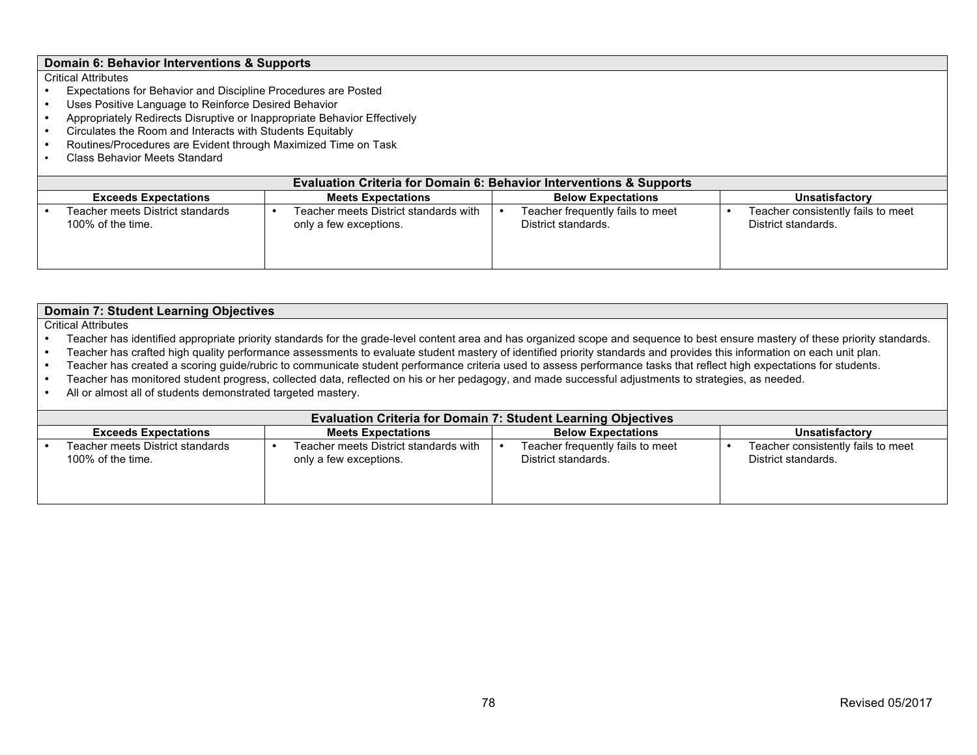# **Domain 6: Behavior Interventions & Supports**

- Expectations for Behavior and Discipline Procedures are Posted
- Uses Positive Language to Reinforce Desired Behavior
- Appropriately Redirects Disruptive or Inappropriate Behavior Effectively
- Circulates the Room and Interacts with Students Equitably
- Routines/Procedures are Evident through Maximized Time on Task<br>• Class Behavior Meets Standard
- Class Behavior Meets Standard

| <b>Evaluation Criteria for Domain 6: Behavior Interventions &amp; Supports</b>                          |                                                                 |                                                         |                                                           |  |  |  |  |  |  |
|---------------------------------------------------------------------------------------------------------|-----------------------------------------------------------------|---------------------------------------------------------|-----------------------------------------------------------|--|--|--|--|--|--|
| <b>Meets Expectations</b><br><b>Below Expectations</b><br><b>Exceeds Expectations</b><br>Unsatisfactory |                                                                 |                                                         |                                                           |  |  |  |  |  |  |
| Teacher meets District standards<br>100% of the time.                                                   | Teacher meets District standards with<br>only a few exceptions. | Teacher frequently fails to meet<br>District standards. | Teacher consistently fails to meet<br>District standards. |  |  |  |  |  |  |

| <b>Domain 7: Student Learning Objectives</b>                                                                                                        |                                                                                                                                                                                 |                                                                      |                                    |  |  |  |  |  |
|-----------------------------------------------------------------------------------------------------------------------------------------------------|---------------------------------------------------------------------------------------------------------------------------------------------------------------------------------|----------------------------------------------------------------------|------------------------------------|--|--|--|--|--|
| <b>Critical Attributes</b>                                                                                                                          |                                                                                                                                                                                 |                                                                      |                                    |  |  |  |  |  |
|                                                                                                                                                     | Teacher has identified appropriate priority standards for the grade-level content area and has organized scope and sequence to best ensure mastery of these priority standards. |                                                                      |                                    |  |  |  |  |  |
|                                                                                                                                                     | Teacher has crafted high quality performance assessments to evaluate student mastery of identified priority standards and provides this information on each unit plan.          |                                                                      |                                    |  |  |  |  |  |
|                                                                                                                                                     | Teacher has created a scoring guide/rubric to communicate student performance criteria used to assess performance tasks that reflect high expectations for students.            |                                                                      |                                    |  |  |  |  |  |
| Teacher has monitored student progress, collected data, reflected on his or her pedagogy, and made successful adjustments to strategies, as needed. |                                                                                                                                                                                 |                                                                      |                                    |  |  |  |  |  |
| All or almost all of students demonstrated targeted mastery.                                                                                        |                                                                                                                                                                                 |                                                                      |                                    |  |  |  |  |  |
|                                                                                                                                                     |                                                                                                                                                                                 |                                                                      |                                    |  |  |  |  |  |
|                                                                                                                                                     |                                                                                                                                                                                 | <b>Evaluation Criteria for Domain 7: Student Learning Objectives</b> |                                    |  |  |  |  |  |
| <b>Below Expectations</b><br><b>Unsatisfactory</b><br><b>Exceeds Expectations</b><br><b>Meets Expectations</b>                                      |                                                                                                                                                                                 |                                                                      |                                    |  |  |  |  |  |
| Teacher meets District standards                                                                                                                    | Teacher meets District standards with                                                                                                                                           | Teacher frequently fails to meet                                     | Teacher consistently fails to meet |  |  |  |  |  |
| 100% of the time.                                                                                                                                   | only a few exceptions.                                                                                                                                                          | District standards.                                                  | District standards.                |  |  |  |  |  |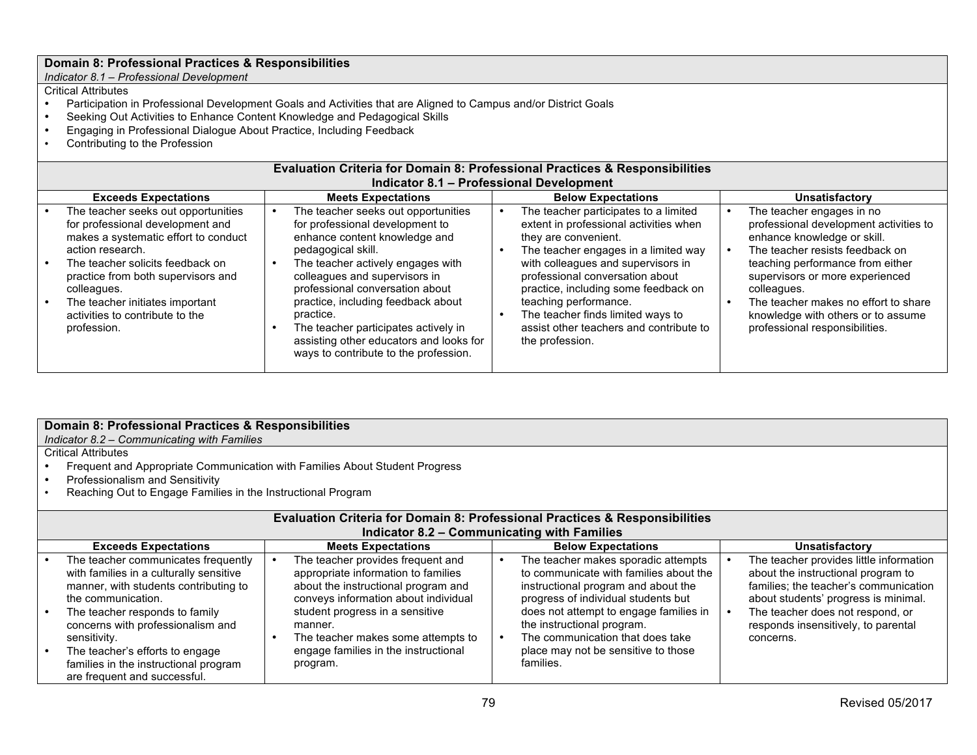*Indicator 8.1 – Professional Development*

#### Critical Attributes

- Participation in Professional Development Goals and Activities that are Aligned to Campus and/or District Goals<br>• Seeking Out Activities to Enhance Content Knowledge and Pedagogical Skills
- Seeking Out Activities to Enhance Content Knowledge and Pedagogical Skills
- Engaging in Professional Dialogue About Practice, Including Feedback
- Contributing to the Profession

#### **Evaluation Criteria for Domain 8: Professional Practices & Responsibilities Indicator 8.1 – Professional Development**

| <b>Exceeds Expectations</b>                                                                                                                                                                                                                                                                                       | <b>Meets Expectations</b>                                                                                                                                                                                                                                                                                                                                                                                             | <b>Below Expectations</b>                                                                                                                                                                                                                                                                                                                                                                    |                                                                                                                                                                                                                                                                                                                                             |  |
|-------------------------------------------------------------------------------------------------------------------------------------------------------------------------------------------------------------------------------------------------------------------------------------------------------------------|-----------------------------------------------------------------------------------------------------------------------------------------------------------------------------------------------------------------------------------------------------------------------------------------------------------------------------------------------------------------------------------------------------------------------|----------------------------------------------------------------------------------------------------------------------------------------------------------------------------------------------------------------------------------------------------------------------------------------------------------------------------------------------------------------------------------------------|---------------------------------------------------------------------------------------------------------------------------------------------------------------------------------------------------------------------------------------------------------------------------------------------------------------------------------------------|--|
| The teacher seeks out opportunities<br>for professional development and<br>makes a systematic effort to conduct<br>action research.<br>The teacher solicits feedback on<br>practice from both supervisors and<br>colleagues.<br>The teacher initiates important<br>activities to contribute to the<br>profession. | The teacher seeks out opportunities<br>for professional development to<br>enhance content knowledge and<br>pedagogical skill.<br>The teacher actively engages with<br>colleagues and supervisors in<br>professional conversation about<br>practice, including feedback about<br>practice.<br>The teacher participates actively in<br>assisting other educators and looks for<br>ways to contribute to the profession. | The teacher participates to a limited<br>extent in professional activities when<br>they are convenient.<br>The teacher engages in a limited way<br>with colleagues and supervisors in<br>professional conversation about<br>practice, including some feedback on<br>teaching performance.<br>The teacher finds limited ways to<br>assist other teachers and contribute to<br>the profession. | The teacher engages in no<br>professional development activities to<br>enhance knowledge or skill.<br>The teacher resists feedback on<br>teaching performance from either<br>supervisors or more experienced<br>colleagues.<br>The teacher makes no effort to share<br>knowledge with others or to assume<br>professional responsibilities. |  |

| Domain 8: Professional Practices & Responsibilities<br>Indicator 8.2 – Communicating with Families        |  |                                                                                        |  |                                                                            |  |                                                                               |  |
|-----------------------------------------------------------------------------------------------------------|--|----------------------------------------------------------------------------------------|--|----------------------------------------------------------------------------|--|-------------------------------------------------------------------------------|--|
| <b>Critical Attributes</b><br>Frequent and Appropriate Communication with Families About Student Progress |  |                                                                                        |  |                                                                            |  |                                                                               |  |
| Professionalism and Sensitivity                                                                           |  |                                                                                        |  |                                                                            |  |                                                                               |  |
| Reaching Out to Engage Families in the Instructional Program                                              |  |                                                                                        |  |                                                                            |  |                                                                               |  |
|                                                                                                           |  | <b>Evaluation Criteria for Domain 8: Professional Practices &amp; Responsibilities</b> |  |                                                                            |  |                                                                               |  |
|                                                                                                           |  | <b>Indicator 8.2 - Communicating with Families</b>                                     |  |                                                                            |  |                                                                               |  |
| <b>Exceeds Expectations</b>                                                                               |  | <b>Meets Expectations</b>                                                              |  | <b>Below Expectations</b>                                                  |  | Unsatisfactory                                                                |  |
| The teacher communicates frequently                                                                       |  | The teacher provides frequent and                                                      |  | The teacher makes sporadic attempts                                        |  | The teacher provides little information                                       |  |
| with families in a culturally sensitive                                                                   |  | appropriate information to families                                                    |  | to communicate with families about the                                     |  | about the instructional program to                                            |  |
| manner, with students contributing to<br>the communication.                                               |  | about the instructional program and<br>conveys information about individual            |  | instructional program and about the<br>progress of individual students but |  | families; the teacher's communication<br>about students' progress is minimal. |  |
| The teacher responds to family                                                                            |  | student progress in a sensitive                                                        |  | does not attempt to engage families in                                     |  | The teacher does not respond, or                                              |  |
| concerns with professionalism and                                                                         |  | manner.                                                                                |  | the instructional program.                                                 |  | responds insensitively, to parental                                           |  |
| sensitivity.                                                                                              |  | The teacher makes some attempts to                                                     |  | The communication that does take                                           |  | concerns.                                                                     |  |
| The teacher's efforts to engage                                                                           |  | engage families in the instructional                                                   |  | place may not be sensitive to those                                        |  |                                                                               |  |
| families in the instructional program                                                                     |  | program.                                                                               |  | families.                                                                  |  |                                                                               |  |
| are frequent and successful.                                                                              |  |                                                                                        |  |                                                                            |  |                                                                               |  |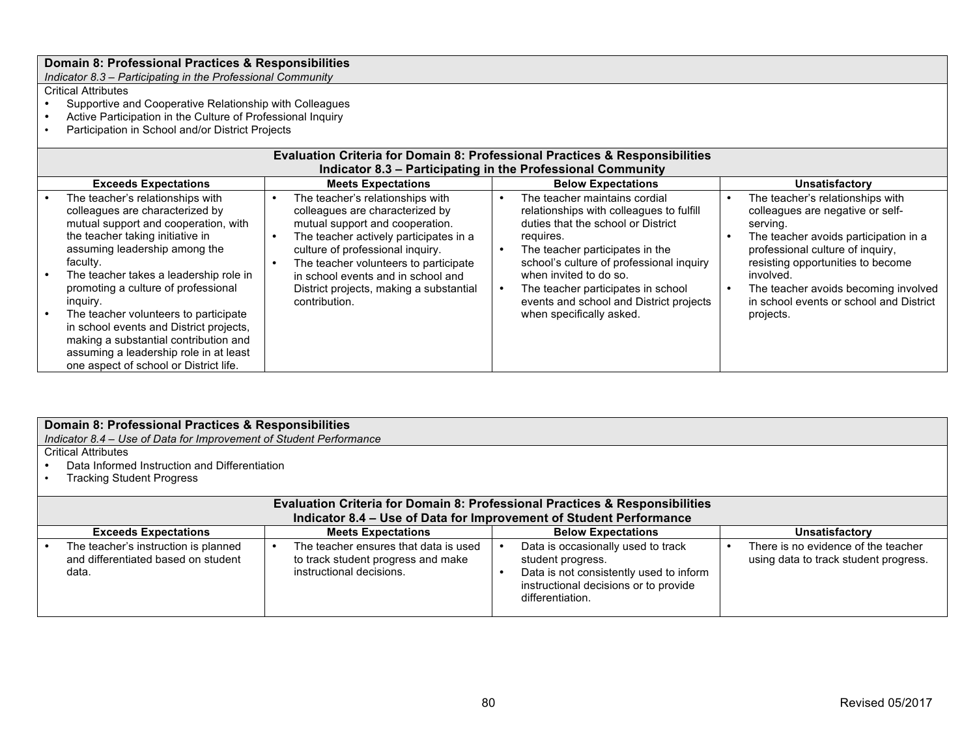*Indicator 8.3 – Participating in the Professional Community*

- Supportive and Cooperative Relationship with Colleagues
- Active Participation in the Culture of Professional Inquiry
- Participation in School and/or District Projects

| <b>Evaluation Criteria for Domain 8: Professional Practices &amp; Responsibilities</b><br>Indicator 8.3 – Participating in the Professional Community                                                                                                                                                                                                                                                                                                                                                      |  |                                                                                                                                                                                                                                                                                                                                 |                           |                                                                                                                                                                                                                                                                                                                                                    |  |                                                                                                                                                                                                                                                                                                                 |  |  |  |
|------------------------------------------------------------------------------------------------------------------------------------------------------------------------------------------------------------------------------------------------------------------------------------------------------------------------------------------------------------------------------------------------------------------------------------------------------------------------------------------------------------|--|---------------------------------------------------------------------------------------------------------------------------------------------------------------------------------------------------------------------------------------------------------------------------------------------------------------------------------|---------------------------|----------------------------------------------------------------------------------------------------------------------------------------------------------------------------------------------------------------------------------------------------------------------------------------------------------------------------------------------------|--|-----------------------------------------------------------------------------------------------------------------------------------------------------------------------------------------------------------------------------------------------------------------------------------------------------------------|--|--|--|
| <b>Exceeds Expectations</b>                                                                                                                                                                                                                                                                                                                                                                                                                                                                                |  | <b>Meets Expectations</b>                                                                                                                                                                                                                                                                                                       | <b>Below Expectations</b> |                                                                                                                                                                                                                                                                                                                                                    |  | <b>Unsatisfactory</b>                                                                                                                                                                                                                                                                                           |  |  |  |
| The teacher's relationships with<br>colleagues are characterized by<br>mutual support and cooperation, with<br>the teacher taking initiative in<br>assuming leadership among the<br>faculty.<br>The teacher takes a leadership role in<br>promoting a culture of professional<br>inguiry.<br>The teacher volunteers to participate<br>in school events and District projects,<br>making a substantial contribution and<br>assuming a leadership role in at least<br>one aspect of school or District life. |  | The teacher's relationships with<br>colleagues are characterized by<br>mutual support and cooperation.<br>The teacher actively participates in a<br>culture of professional inquiry.<br>The teacher volunteers to participate<br>in school events and in school and<br>District projects, making a substantial<br>contribution. |                           | The teacher maintains cordial<br>relationships with colleagues to fulfill<br>duties that the school or District<br>requires.<br>The teacher participates in the<br>school's culture of professional inquiry<br>when invited to do so.<br>The teacher participates in school<br>events and school and District projects<br>when specifically asked. |  | The teacher's relationships with<br>colleagues are negative or self-<br>serving.<br>The teacher avoids participation in a<br>professional culture of inquiry,<br>resisting opportunities to become<br>involved.<br>The teacher avoids becoming involved<br>in school events or school and District<br>projects. |  |  |  |

|                                                                    | Domain 8: Professional Practices & Responsibilities                 |                                                                                        |                                       |  |  |  |  |  |
|--------------------------------------------------------------------|---------------------------------------------------------------------|----------------------------------------------------------------------------------------|---------------------------------------|--|--|--|--|--|
| Indicator 8.4 - Use of Data for Improvement of Student Performance |                                                                     |                                                                                        |                                       |  |  |  |  |  |
| Critical Attributes                                                |                                                                     |                                                                                        |                                       |  |  |  |  |  |
| Data Informed Instruction and Differentiation                      |                                                                     |                                                                                        |                                       |  |  |  |  |  |
| <b>Tracking Student Progress</b>                                   |                                                                     |                                                                                        |                                       |  |  |  |  |  |
|                                                                    |                                                                     |                                                                                        |                                       |  |  |  |  |  |
|                                                                    |                                                                     | <b>Evaluation Criteria for Domain 8: Professional Practices &amp; Responsibilities</b> |                                       |  |  |  |  |  |
|                                                                    |                                                                     | Indicator 8.4 – Use of Data for Improvement of Student Performance                     |                                       |  |  |  |  |  |
| <b>Exceeds Expectations</b>                                        | <b>Meets Expectations</b>                                           | <b>Below Expectations</b>                                                              | <b>Unsatisfactory</b>                 |  |  |  |  |  |
| The teacher's instruction is planned                               | The teacher ensures that data is used                               | Data is occasionally used to track                                                     | There is no evidence of the teacher   |  |  |  |  |  |
| and differentiated based on student                                | to track student progress and make                                  | student progress.                                                                      | using data to track student progress. |  |  |  |  |  |
| data.                                                              | instructional decisions.<br>Data is not consistently used to inform |                                                                                        |                                       |  |  |  |  |  |
| instructional decisions or to provide                              |                                                                     |                                                                                        |                                       |  |  |  |  |  |
|                                                                    |                                                                     | differentiation.                                                                       |                                       |  |  |  |  |  |
|                                                                    |                                                                     |                                                                                        |                                       |  |  |  |  |  |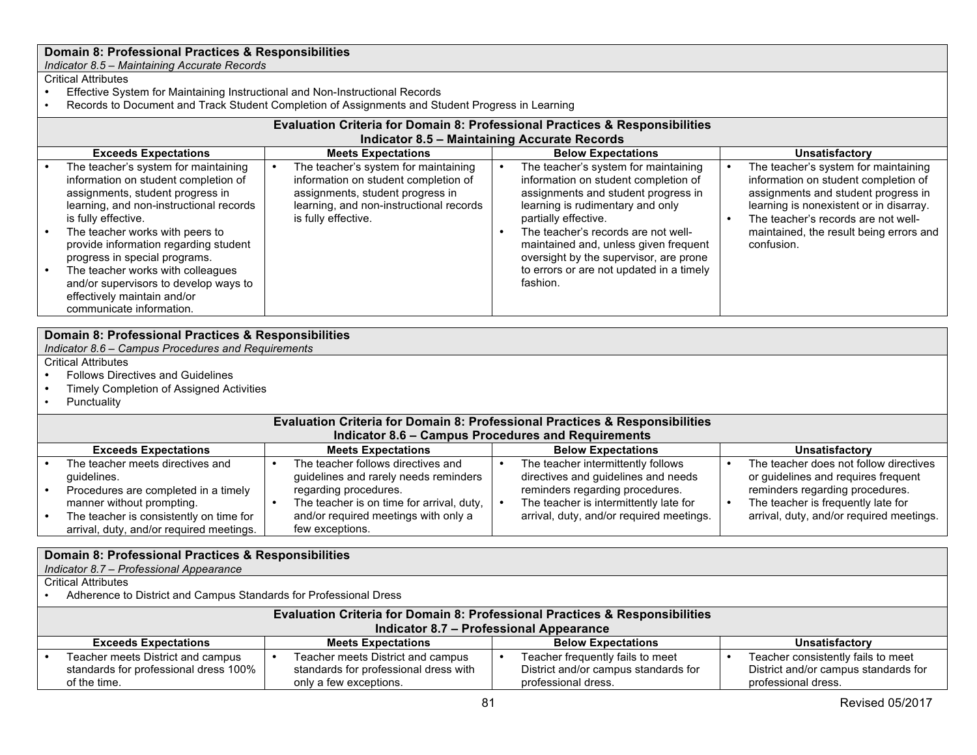*Indicator 8.5 – Maintaining Accurate Records*

#### Critical Attributes

- Effective System for Maintaining Instructional and Non-Instructional Records
- Records to Document and Track Student Completion of Assignments and Student Progress in Learning

|                                                                                                                                                                                                                                                                                                                                                                                                                                                                                                                                                                                                                                | <b>Evaluation Criteria for Domain 8: Professional Practices &amp; Responsibilities</b> |  |                           |  |                                                                                                                                                                                                                                                                                                                                                                   |  |                                                                                                                                                                                                                                                                |  |  |  |
|--------------------------------------------------------------------------------------------------------------------------------------------------------------------------------------------------------------------------------------------------------------------------------------------------------------------------------------------------------------------------------------------------------------------------------------------------------------------------------------------------------------------------------------------------------------------------------------------------------------------------------|----------------------------------------------------------------------------------------|--|---------------------------|--|-------------------------------------------------------------------------------------------------------------------------------------------------------------------------------------------------------------------------------------------------------------------------------------------------------------------------------------------------------------------|--|----------------------------------------------------------------------------------------------------------------------------------------------------------------------------------------------------------------------------------------------------------------|--|--|--|
|                                                                                                                                                                                                                                                                                                                                                                                                                                                                                                                                                                                                                                | <b>Indicator 8.5 - Maintaining Accurate Records</b>                                    |  |                           |  |                                                                                                                                                                                                                                                                                                                                                                   |  |                                                                                                                                                                                                                                                                |  |  |  |
|                                                                                                                                                                                                                                                                                                                                                                                                                                                                                                                                                                                                                                | <b>Exceeds Expectations</b>                                                            |  | <b>Meets Expectations</b> |  | <b>Below Expectations</b>                                                                                                                                                                                                                                                                                                                                         |  | <b>Unsatisfactory</b>                                                                                                                                                                                                                                          |  |  |  |
| The teacher's system for maintaining<br>The teacher's system for maintaining<br>information on student completion of<br>information on student completion of<br>assignments, student progress in<br>assignments, student progress in<br>learning, and non-instructional records<br>learning, and non-instructional records<br>is fully effective.<br>is fully effective.<br>The teacher works with peers to<br>provide information regarding student<br>progress in special programs.<br>The teacher works with colleagues<br>and/or supervisors to develop ways to<br>effectively maintain and/or<br>communicate information. |                                                                                        |  |                           |  | The teacher's system for maintaining<br>information on student completion of<br>assignments and student progress in<br>learning is rudimentary and only<br>partially effective.<br>The teacher's records are not well-<br>maintained and, unless given frequent<br>oversight by the supervisor, are prone<br>to errors or are not updated in a timely<br>fashion. |  | The teacher's system for maintaining<br>information on student completion of<br>assignments and student progress in<br>learning is nonexistent or in disarray.<br>The teacher's records are not well-<br>maintained, the result being errors and<br>confusion. |  |  |  |
|                                                                                                                                                                                                                                                                                                                                                                                                                                                                                                                                                                                                                                |                                                                                        |  |                           |  |                                                                                                                                                                                                                                                                                                                                                                   |  |                                                                                                                                                                                                                                                                |  |  |  |
|                                                                                                                                                                                                                                                                                                                                                                                                                                                                                                                                                                                                                                | Domain 8: Professional Practices & Responsibilities                                    |  |                           |  |                                                                                                                                                                                                                                                                                                                                                                   |  |                                                                                                                                                                                                                                                                |  |  |  |

*Indicator 8.6 – Campus Procedures and Requirements*

- Critical Attributes
- Follows Directives and Guidelines<br>• Timely Completion of Assigned Ac
- Timely Completion of Assigned Activities<br>• Punctuality
- **Punctuality**

#### **Evaluation Criteria for Domain 8: Professional Practices & Responsibilities Indicator 8.6 – Campus Procedures and Requirements**

| <b>Exceeds Expectations</b> |                                          | <b>Meets Expectations</b> |                                           | <b>Below Expectations</b> |                                          |  | <b>Unsatisfactory</b>                    |  |  |  |  |
|-----------------------------|------------------------------------------|---------------------------|-------------------------------------------|---------------------------|------------------------------------------|--|------------------------------------------|--|--|--|--|
|                             | The teacher meets directives and         |                           | The teacher follows directives and        |                           | The teacher intermittently follows       |  | The teacher does not follow directives   |  |  |  |  |
|                             | quidelines.                              |                           | guidelines and rarely needs reminders     |                           | directives and guidelines and needs      |  | or guidelines and requires frequent      |  |  |  |  |
|                             | Procedures are completed in a timely     |                           | regarding procedures.                     |                           | reminders regarding procedures.          |  | reminders regarding procedures.          |  |  |  |  |
|                             | manner without prompting.                |                           | The teacher is on time for arrival, duty, |                           | The teacher is intermittently late for   |  | The teacher is frequently late for       |  |  |  |  |
|                             | The teacher is consistently on time for  |                           | and/or required meetings with only a      |                           | arrival, duty, and/or required meetings. |  | arrival, duty, and/or required meetings. |  |  |  |  |
|                             | arrival, duty, and/or required meetings. |                           | few exceptions.                           |                           |                                          |  |                                          |  |  |  |  |

#### **Domain 8: Professional Practices & Responsibilities**

*Indicator 8.7 – Professional Appearance*

Critical Attributes

• Adherence to District and Campus Standards for Professional Dress

#### **Evaluation Criteria for Domain 8: Professional Practices & Responsibilities Indicator 8.7 – Professional Appearance**

#### **Exceeds Expectations Meets Expectations Below Expectations Unsatisfactory** • Teacher meets District and campus standards for professional dress 100% of the time. • Teacher meets District and campus standards for professional dress with only a few exceptions. • Teacher frequently fails to meet District and/or campus standards for professional dress. • Teacher consistently fails to meet District and/or campus standards for professional dress.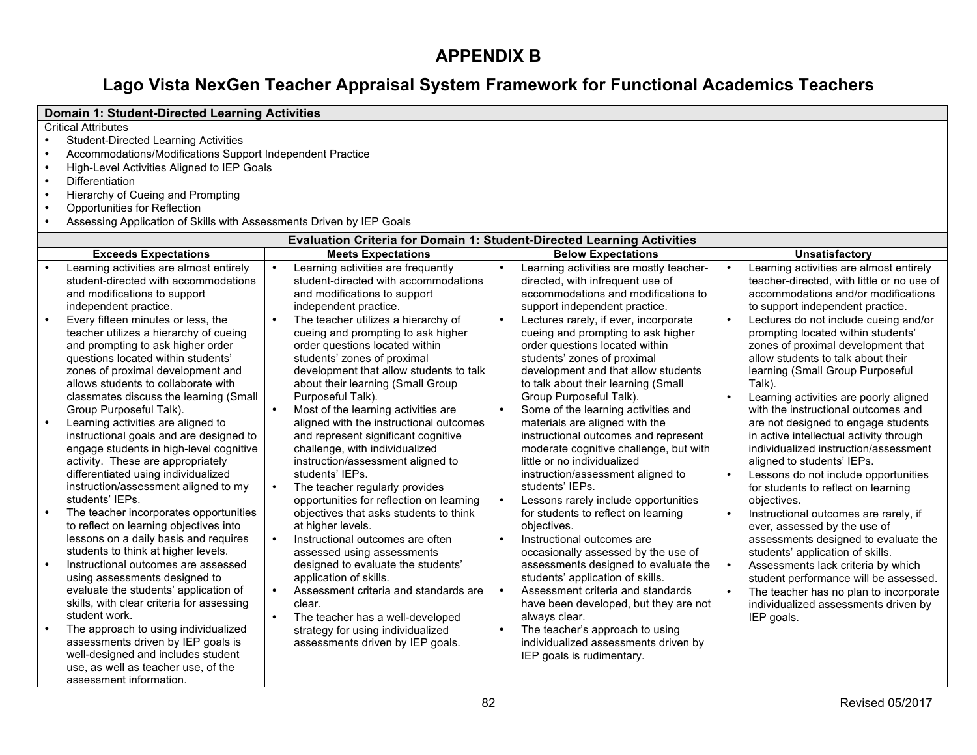# **APPENDIX B**

# **Lago Vista NexGen Teacher Appraisal System Framework for Functional Academics Teachers**

|           | <b>Domain 1: Student-Directed Learning Activities</b>                |           |                                                                               |           |                                         |  |                                            |  |  |  |
|-----------|----------------------------------------------------------------------|-----------|-------------------------------------------------------------------------------|-----------|-----------------------------------------|--|--------------------------------------------|--|--|--|
|           | <b>Critical Attributes</b>                                           |           |                                                                               |           |                                         |  |                                            |  |  |  |
|           | <b>Student-Directed Learning Activities</b>                          |           |                                                                               |           |                                         |  |                                            |  |  |  |
|           | Accommodations/Modifications Support Independent Practice            |           |                                                                               |           |                                         |  |                                            |  |  |  |
|           | High-Level Activities Aligned to IEP Goals                           |           |                                                                               |           |                                         |  |                                            |  |  |  |
|           | Differentiation                                                      |           |                                                                               |           |                                         |  |                                            |  |  |  |
| $\bullet$ | Hierarchy of Cueing and Prompting                                    |           |                                                                               |           |                                         |  |                                            |  |  |  |
| $\bullet$ | Opportunities for Reflection                                         |           |                                                                               |           |                                         |  |                                            |  |  |  |
| $\bullet$ | Assessing Application of Skills with Assessments Driven by IEP Goals |           |                                                                               |           |                                         |  |                                            |  |  |  |
|           |                                                                      |           | <b>Evaluation Criteria for Domain 1: Student-Directed Learning Activities</b> |           |                                         |  |                                            |  |  |  |
|           | <b>Exceeds Expectations</b>                                          |           | <b>Meets Expectations</b>                                                     |           | <b>Below Expectations</b>               |  | <b>Unsatisfactory</b>                      |  |  |  |
|           | Learning activities are almost entirely                              | $\bullet$ | Learning activities are frequently                                            | $\bullet$ | Learning activities are mostly teacher- |  | Learning activities are almost entirely    |  |  |  |
|           | student-directed with accommodations                                 |           | student-directed with accommodations                                          |           | directed, with infrequent use of        |  | teacher-directed, with little or no use of |  |  |  |
|           | and modifications to support                                         |           | and modifications to support                                                  |           | accommodations and modifications to     |  | accommodations and/or modifications        |  |  |  |
|           | independent practice.                                                |           | independent practice.                                                         |           | support independent practice.           |  | to support independent practice.           |  |  |  |
|           | Every fifteen minutes or less, the                                   | $\bullet$ | The teacher utilizes a hierarchy of                                           | $\bullet$ | Lectures rarely, if ever, incorporate   |  | Lectures do not include cueing and/or      |  |  |  |
|           | teacher utilizes a hierarchy of cueing                               |           | cueing and prompting to ask higher                                            |           | cueing and prompting to ask higher      |  | prompting located within students'         |  |  |  |
|           | and prompting to ask higher order                                    |           | order questions located within                                                |           | order questions located within          |  | zones of proximal development that         |  |  |  |
|           | questions located within students'                                   |           | students' zones of proximal                                                   |           | students' zones of proximal             |  | allow students to talk about their         |  |  |  |
|           | zones of proximal development and                                    |           | development that allow students to talk                                       |           | development and that allow students     |  | learning (Small Group Purposeful           |  |  |  |
|           | allows students to collaborate with                                  |           | about their learning (Small Group                                             |           | to talk about their learning (Small     |  | Talk).                                     |  |  |  |
|           | classmates discuss the learning (Small                               |           | Purposeful Talk).                                                             |           | Group Purposeful Talk).                 |  | Learning activities are poorly aligned     |  |  |  |
|           | Group Purposeful Talk).                                              | $\bullet$ | Most of the learning activities are                                           | $\bullet$ | Some of the learning activities and     |  | with the instructional outcomes and        |  |  |  |
| $\bullet$ | Learning activities are aligned to                                   |           | aligned with the instructional outcomes                                       |           | materials are aligned with the          |  | are not designed to engage students        |  |  |  |
|           | instructional goals and are designed to                              |           | and represent significant cognitive                                           |           | instructional outcomes and represent    |  | in active intellectual activity through    |  |  |  |
|           | engage students in high-level cognitive                              |           | challenge, with individualized                                                |           | moderate cognitive challenge, but with  |  | individualized instruction/assessment      |  |  |  |
|           | activity. These are appropriately                                    |           | instruction/assessment aligned to                                             |           | little or no individualized             |  | aligned to students' IEPs.                 |  |  |  |
|           | differentiated using individualized                                  |           | students' IEPs.                                                               |           | instruction/assessment aligned to       |  | Lessons do not include opportunities       |  |  |  |
|           | instruction/assessment aligned to my                                 | $\bullet$ | The teacher regularly provides                                                |           | students' IEPs.                         |  | for students to reflect on learning        |  |  |  |
|           | students' IEPs.                                                      |           | opportunities for reflection on learning                                      | $\bullet$ | Lessons rarely include opportunities    |  | objectives.                                |  |  |  |
| $\bullet$ | The teacher incorporates opportunities                               |           | objectives that asks students to think                                        |           | for students to reflect on learning     |  | Instructional outcomes are rarely, if      |  |  |  |
|           | to reflect on learning objectives into                               |           | at higher levels.                                                             |           | objectives.                             |  | ever, assessed by the use of               |  |  |  |
|           | lessons on a daily basis and requires                                | $\bullet$ | Instructional outcomes are often                                              | $\bullet$ | Instructional outcomes are              |  | assessments designed to evaluate the       |  |  |  |
|           | students to think at higher levels.                                  |           | assessed using assessments                                                    |           | occasionally assessed by the use of     |  | students' application of skills.           |  |  |  |
| $\bullet$ | Instructional outcomes are assessed                                  |           | designed to evaluate the students'                                            |           | assessments designed to evaluate the    |  | Assessments lack criteria by which         |  |  |  |
|           | using assessments designed to                                        |           | application of skills.                                                        |           | students' application of skills.        |  | student performance will be assessed.      |  |  |  |
|           | evaluate the students' application of                                | $\bullet$ | Assessment criteria and standards are                                         | $\bullet$ | Assessment criteria and standards       |  | The teacher has no plan to incorporate     |  |  |  |
|           | skills, with clear criteria for assessing                            |           | clear.                                                                        |           | have been developed, but they are not   |  | individualized assessments driven by       |  |  |  |
|           | student work.                                                        |           | The teacher has a well-developed                                              |           | always clear.                           |  | IEP goals.                                 |  |  |  |
| $\bullet$ | The approach to using individualized                                 |           | strategy for using individualized                                             |           | The teacher's approach to using         |  |                                            |  |  |  |
|           | assessments driven by IEP goals is                                   |           | assessments driven by IEP goals.                                              |           | individualized assessments driven by    |  |                                            |  |  |  |
|           | well-designed and includes student                                   |           |                                                                               |           | IEP goals is rudimentary.               |  |                                            |  |  |  |
|           | use, as well as teacher use, of the                                  |           |                                                                               |           |                                         |  |                                            |  |  |  |
|           | assessment information.                                              |           |                                                                               |           |                                         |  |                                            |  |  |  |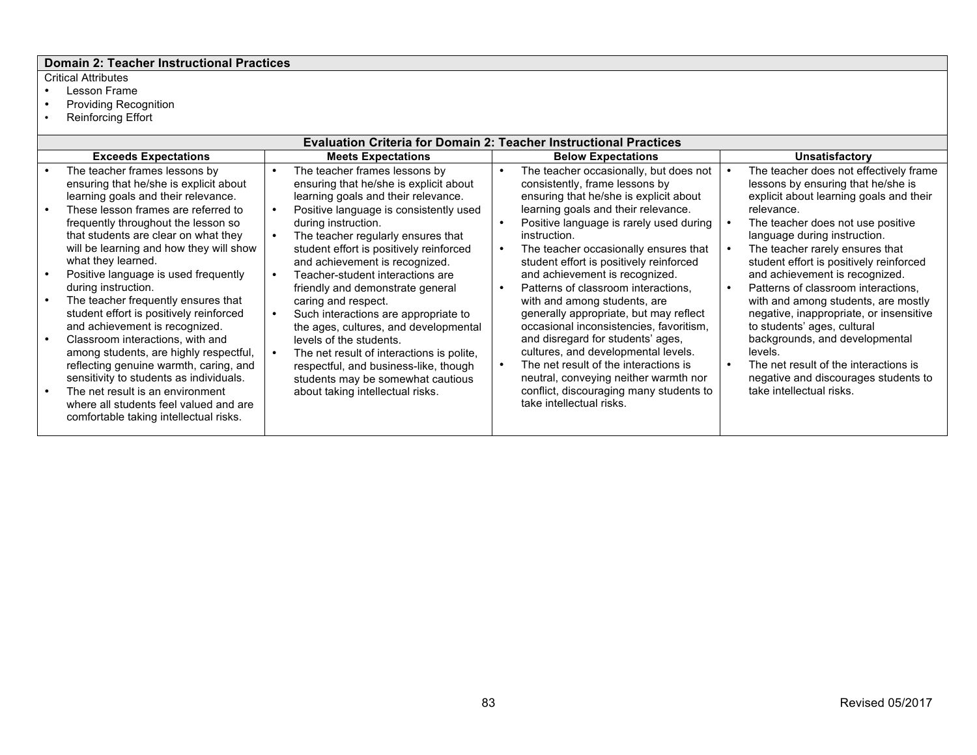### **Domain 2: Teacher Instructional Practices**

# Critical Attributes<br>• Lesson Frame

- Lesson Frame<br>• Providing Reco<br>• Reinforcing Effo
- Providing Recognition
- Reinforcing Effort

| <b>Evaluation Criteria for Domain 2: Teacher Instructional Practices</b>                                                                                                                                                                                                                                                                                                                                                                                                                                                                                                      |                        |                                                                                                                                                                                                                                                                                                                                                                                                                                                                                                                                                            |                           |                                                                                                                                                                                                                                                                                                                                                                                                                                                                                                                                                                                           |  |                                                                                                                                                                                                                                                                                                                                                                                                                                                                                                                   |  |  |  |
|-------------------------------------------------------------------------------------------------------------------------------------------------------------------------------------------------------------------------------------------------------------------------------------------------------------------------------------------------------------------------------------------------------------------------------------------------------------------------------------------------------------------------------------------------------------------------------|------------------------|------------------------------------------------------------------------------------------------------------------------------------------------------------------------------------------------------------------------------------------------------------------------------------------------------------------------------------------------------------------------------------------------------------------------------------------------------------------------------------------------------------------------------------------------------------|---------------------------|-------------------------------------------------------------------------------------------------------------------------------------------------------------------------------------------------------------------------------------------------------------------------------------------------------------------------------------------------------------------------------------------------------------------------------------------------------------------------------------------------------------------------------------------------------------------------------------------|--|-------------------------------------------------------------------------------------------------------------------------------------------------------------------------------------------------------------------------------------------------------------------------------------------------------------------------------------------------------------------------------------------------------------------------------------------------------------------------------------------------------------------|--|--|--|
| <b>Exceeds Expectations</b>                                                                                                                                                                                                                                                                                                                                                                                                                                                                                                                                                   |                        | <b>Meets Expectations</b>                                                                                                                                                                                                                                                                                                                                                                                                                                                                                                                                  | <b>Below Expectations</b> |                                                                                                                                                                                                                                                                                                                                                                                                                                                                                                                                                                                           |  | <b>Unsatisfactory</b>                                                                                                                                                                                                                                                                                                                                                                                                                                                                                             |  |  |  |
| The teacher frames lessons by<br>ensuring that he/she is explicit about<br>learning goals and their relevance.                                                                                                                                                                                                                                                                                                                                                                                                                                                                | $\bullet$              | The teacher frames lessons by<br>ensuring that he/she is explicit about<br>learning goals and their relevance.                                                                                                                                                                                                                                                                                                                                                                                                                                             |                           | The teacher occasionally, but does not<br>consistently, frame lessons by<br>ensuring that he/she is explicit about                                                                                                                                                                                                                                                                                                                                                                                                                                                                        |  | The teacher does not effectively frame<br>lessons by ensuring that he/she is<br>explicit about learning goals and their                                                                                                                                                                                                                                                                                                                                                                                           |  |  |  |
| These lesson frames are referred to<br>frequently throughout the lesson so<br>that students are clear on what they<br>will be learning and how they will show<br>what they learned.<br>Positive language is used frequently<br>during instruction.<br>The teacher frequently ensures that<br>student effort is positively reinforced<br>and achievement is recognized.<br>Classroom interactions, with and<br>among students, are highly respectful,<br>reflecting genuine warmth, caring, and<br>sensitivity to students as individuals.<br>The net result is an environment | $\bullet$<br>$\bullet$ | Positive language is consistently used<br>during instruction.<br>The teacher regularly ensures that<br>student effort is positively reinforced<br>and achievement is recognized.<br>Teacher-student interactions are<br>friendly and demonstrate general<br>caring and respect.<br>Such interactions are appropriate to<br>the ages, cultures, and developmental<br>levels of the students.<br>The net result of interactions is polite,<br>respectful, and business-like, though<br>students may be somewhat cautious<br>about taking intellectual risks. |                           | learning goals and their relevance.<br>Positive language is rarely used during<br>instruction.<br>The teacher occasionally ensures that<br>student effort is positively reinforced<br>and achievement is recognized.<br>Patterns of classroom interactions.<br>with and among students, are<br>generally appropriate, but may reflect<br>occasional inconsistencies, favoritism,<br>and disregard for students' ages,<br>cultures, and developmental levels.<br>The net result of the interactions is<br>neutral, conveying neither warmth nor<br>conflict, discouraging many students to |  | relevance.<br>The teacher does not use positive<br>language during instruction.<br>The teacher rarely ensures that<br>student effort is positively reinforced<br>and achievement is recognized.<br>Patterns of classroom interactions.<br>with and among students, are mostly<br>negative, inappropriate, or insensitive<br>to students' ages, cultural<br>backgrounds, and developmental<br>levels.<br>The net result of the interactions is<br>negative and discourages students to<br>take intellectual risks. |  |  |  |
| where all students feel valued and are<br>comfortable taking intellectual risks.                                                                                                                                                                                                                                                                                                                                                                                                                                                                                              |                        |                                                                                                                                                                                                                                                                                                                                                                                                                                                                                                                                                            |                           | take intellectual risks.                                                                                                                                                                                                                                                                                                                                                                                                                                                                                                                                                                  |  |                                                                                                                                                                                                                                                                                                                                                                                                                                                                                                                   |  |  |  |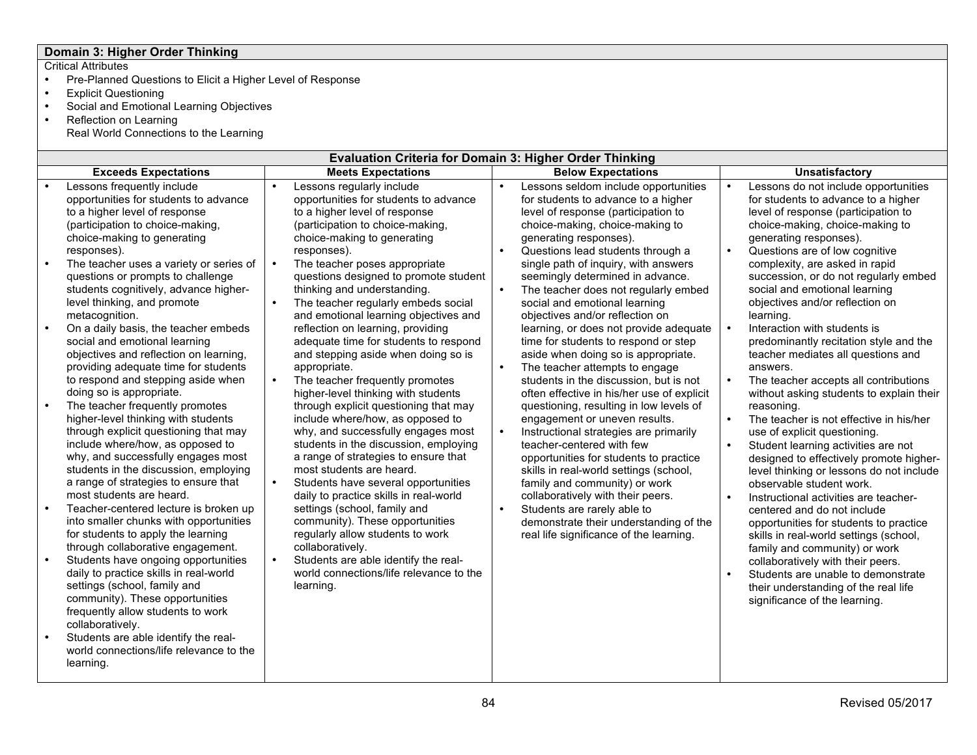# **Domain 3: Higher Order Thinking**

- Pre-Planned Questions to Elicit a Higher Level of Response
- Explicit Questioning
- Social and Emotional Learning Objectives
- Reflection on Learning Real World Connections to the Learning

| <b>Evaluation Criteria for Domain 3: Higher Order Thinking</b>                                                                                                                                                                                                                                                                                                                                                                                                                                                                                                                                                                                                                                                 |                                                                                                                                                                                                                                                                                                                                                                                                                                                                                                                                                                                                                                                                            |                                                                                                                                                                                                                                                                                                                                                                                                                                                                                                                                                                                                                                                                                                                                                                       |                                                                                                                                                                                                                                                                                                                                                                                                                                                                                                                                                                                                                                                         |  |  |  |  |  |  |  |
|----------------------------------------------------------------------------------------------------------------------------------------------------------------------------------------------------------------------------------------------------------------------------------------------------------------------------------------------------------------------------------------------------------------------------------------------------------------------------------------------------------------------------------------------------------------------------------------------------------------------------------------------------------------------------------------------------------------|----------------------------------------------------------------------------------------------------------------------------------------------------------------------------------------------------------------------------------------------------------------------------------------------------------------------------------------------------------------------------------------------------------------------------------------------------------------------------------------------------------------------------------------------------------------------------------------------------------------------------------------------------------------------------|-----------------------------------------------------------------------------------------------------------------------------------------------------------------------------------------------------------------------------------------------------------------------------------------------------------------------------------------------------------------------------------------------------------------------------------------------------------------------------------------------------------------------------------------------------------------------------------------------------------------------------------------------------------------------------------------------------------------------------------------------------------------------|---------------------------------------------------------------------------------------------------------------------------------------------------------------------------------------------------------------------------------------------------------------------------------------------------------------------------------------------------------------------------------------------------------------------------------------------------------------------------------------------------------------------------------------------------------------------------------------------------------------------------------------------------------|--|--|--|--|--|--|--|
| <b>Exceeds Expectations</b>                                                                                                                                                                                                                                                                                                                                                                                                                                                                                                                                                                                                                                                                                    | <b>Meets Expectations</b>                                                                                                                                                                                                                                                                                                                                                                                                                                                                                                                                                                                                                                                  | <b>Below Expectations</b>                                                                                                                                                                                                                                                                                                                                                                                                                                                                                                                                                                                                                                                                                                                                             | <b>Unsatisfactory</b>                                                                                                                                                                                                                                                                                                                                                                                                                                                                                                                                                                                                                                   |  |  |  |  |  |  |  |
| Lessons frequently include<br>opportunities for students to advance<br>to a higher level of response<br>(participation to choice-making,<br>choice-making to generating<br>responses).<br>$\bullet$<br>The teacher uses a variety or series of<br>questions or prompts to challenge<br>students cognitively, advance higher-<br>level thinking, and promote<br>metacognition.<br>On a daily basis, the teacher embeds<br>$\bullet$<br>social and emotional learning<br>objectives and reflection on learning,<br>providing adequate time for students<br>to respond and stepping aside when<br>doing so is appropriate.<br>The teacher frequently promotes<br>$\bullet$<br>higher-level thinking with students | Lessons regularly include<br>opportunities for students to advance<br>to a higher level of response<br>(participation to choice-making,<br>choice-making to generating<br>responses).<br>The teacher poses appropriate<br>questions designed to promote student<br>thinking and understanding.<br>The teacher regularly embeds social<br>and emotional learning objectives and<br>reflection on learning, providing<br>adequate time for students to respond<br>and stepping aside when doing so is<br>appropriate.<br>The teacher frequently promotes<br>higher-level thinking with students<br>through explicit questioning that may<br>include where/how, as opposed to | Lessons seldom include opportunities<br>$\bullet$<br>for students to advance to a higher<br>level of response (participation to<br>choice-making, choice-making to<br>generating responses).<br>Questions lead students through a<br>single path of inquiry, with answers<br>seemingly determined in advance.<br>$\bullet$<br>The teacher does not regularly embed<br>social and emotional learning<br>objectives and/or reflection on<br>learning, or does not provide adequate<br>time for students to respond or step<br>aside when doing so is appropriate.<br>The teacher attempts to engage<br>students in the discussion, but is not<br>often effective in his/her use of explicit<br>questioning, resulting in low levels of<br>engagement or uneven results. | Lessons do not include opportunities<br>for students to advance to a higher<br>level of response (participation to<br>choice-making, choice-making to<br>generating responses).<br>Questions are of low cognitive<br>complexity, are asked in rapid<br>succession, or do not regularly embed<br>social and emotional learning<br>objectives and/or reflection on<br>learning.<br>Interaction with students is<br>predominantly recitation style and the<br>teacher mediates all questions and<br>answers.<br>The teacher accepts all contributions<br>without asking students to explain their<br>reasoning.<br>The teacher is not effective in his/her |  |  |  |  |  |  |  |
| through explicit questioning that may<br>include where/how, as opposed to<br>why, and successfully engages most<br>students in the discussion, employing<br>a range of strategies to ensure that<br>most students are heard.<br>Teacher-centered lecture is broken up<br>into smaller chunks with opportunities<br>for students to apply the learning<br>through collaborative engagement.<br>Students have ongoing opportunities<br>daily to practice skills in real-world<br>settings (school, family and<br>community). These opportunities<br>frequently allow students to work<br>collaboratively.<br>Students are able identify the real-<br>world connections/life relevance to the<br>learning.        | why, and successfully engages most<br>students in the discussion, employing<br>a range of strategies to ensure that<br>most students are heard.<br>Students have several opportunities<br>daily to practice skills in real-world<br>settings (school, family and<br>community). These opportunities<br>regularly allow students to work<br>collaboratively.<br>Students are able identify the real-<br>world connections/life relevance to the<br>learning.                                                                                                                                                                                                                | Instructional strategies are primarily<br>$\bullet$<br>teacher-centered with few<br>opportunities for students to practice<br>skills in real-world settings (school,<br>family and community) or work<br>collaboratively with their peers.<br>Students are rarely able to<br>demonstrate their understanding of the<br>real life significance of the learning.                                                                                                                                                                                                                                                                                                                                                                                                        | use of explicit questioning.<br>Student learning activities are not<br>designed to effectively promote higher-<br>level thinking or lessons do not include<br>observable student work.<br>Instructional activities are teacher-<br>centered and do not include<br>opportunities for students to practice<br>skills in real-world settings (school,<br>family and community) or work<br>collaboratively with their peers.<br>Students are unable to demonstrate<br>their understanding of the real life<br>significance of the learning.                                                                                                                 |  |  |  |  |  |  |  |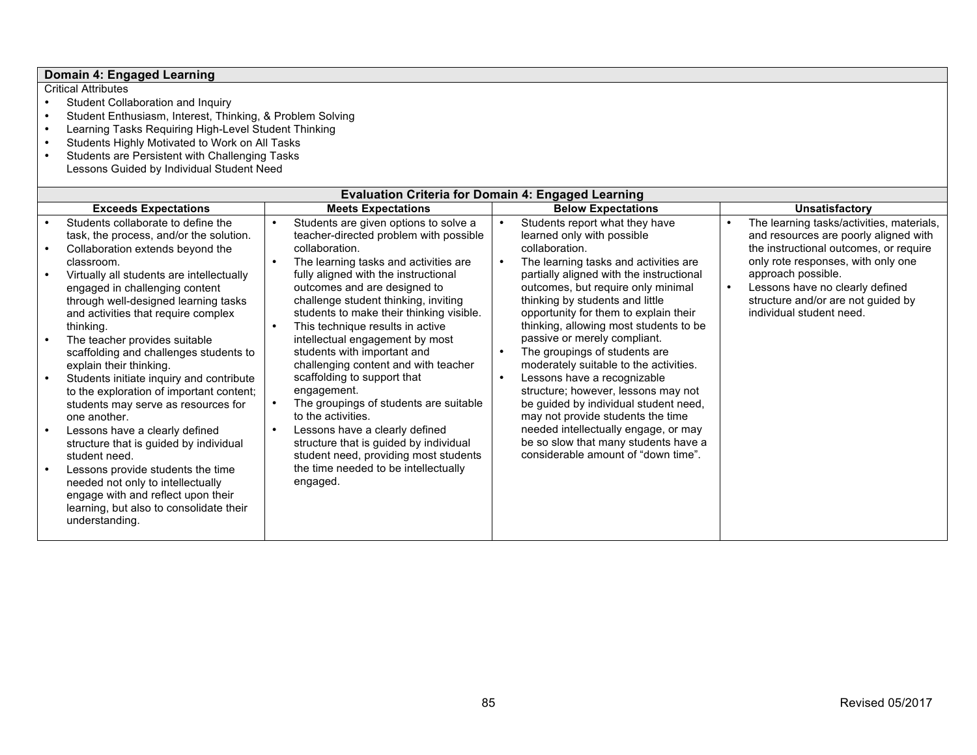| Domain 4: Engaged Learning                                                                                                                                                                                                                                                                                                                                                                                                                                                                                                                                                                                                                                                                                                                                                                                          |                                                                                                                                                                                                                                                                                                                                                                                                                                                                                                                                                                                                                                                                                                                                                                                                              |                                                                                                                                                                                                                                                                                                                                                                                                                                                                                                                                                                                                                                                                                                                       |                                                                                                                                                                                                                                                                                               |
|---------------------------------------------------------------------------------------------------------------------------------------------------------------------------------------------------------------------------------------------------------------------------------------------------------------------------------------------------------------------------------------------------------------------------------------------------------------------------------------------------------------------------------------------------------------------------------------------------------------------------------------------------------------------------------------------------------------------------------------------------------------------------------------------------------------------|--------------------------------------------------------------------------------------------------------------------------------------------------------------------------------------------------------------------------------------------------------------------------------------------------------------------------------------------------------------------------------------------------------------------------------------------------------------------------------------------------------------------------------------------------------------------------------------------------------------------------------------------------------------------------------------------------------------------------------------------------------------------------------------------------------------|-----------------------------------------------------------------------------------------------------------------------------------------------------------------------------------------------------------------------------------------------------------------------------------------------------------------------------------------------------------------------------------------------------------------------------------------------------------------------------------------------------------------------------------------------------------------------------------------------------------------------------------------------------------------------------------------------------------------------|-----------------------------------------------------------------------------------------------------------------------------------------------------------------------------------------------------------------------------------------------------------------------------------------------|
| <b>Critical Attributes</b><br>Student Collaboration and Inquiry<br>Student Enthusiasm, Interest, Thinking, & Problem Solving<br>Learning Tasks Requiring High-Level Student Thinking<br>$\bullet$<br>Students Highly Motivated to Work on All Tasks<br>Students are Persistent with Challenging Tasks<br>$\bullet$<br>Lessons Guided by Individual Student Need                                                                                                                                                                                                                                                                                                                                                                                                                                                     |                                                                                                                                                                                                                                                                                                                                                                                                                                                                                                                                                                                                                                                                                                                                                                                                              |                                                                                                                                                                                                                                                                                                                                                                                                                                                                                                                                                                                                                                                                                                                       |                                                                                                                                                                                                                                                                                               |
|                                                                                                                                                                                                                                                                                                                                                                                                                                                                                                                                                                                                                                                                                                                                                                                                                     |                                                                                                                                                                                                                                                                                                                                                                                                                                                                                                                                                                                                                                                                                                                                                                                                              | <b>Evaluation Criteria for Domain 4: Engaged Learning</b>                                                                                                                                                                                                                                                                                                                                                                                                                                                                                                                                                                                                                                                             |                                                                                                                                                                                                                                                                                               |
| <b>Exceeds Expectations</b>                                                                                                                                                                                                                                                                                                                                                                                                                                                                                                                                                                                                                                                                                                                                                                                         | <b>Meets Expectations</b>                                                                                                                                                                                                                                                                                                                                                                                                                                                                                                                                                                                                                                                                                                                                                                                    | <b>Below Expectations</b>                                                                                                                                                                                                                                                                                                                                                                                                                                                                                                                                                                                                                                                                                             | <b>Unsatisfactory</b>                                                                                                                                                                                                                                                                         |
| Students collaborate to define the<br>task, the process, and/or the solution.<br>Collaboration extends beyond the<br>classroom.<br>Virtually all students are intellectually<br>$\bullet$<br>engaged in challenging content<br>through well-designed learning tasks<br>and activities that require complex<br>thinking.<br>The teacher provides suitable<br>$\bullet$<br>scaffolding and challenges students to<br>explain their thinking.<br>Students initiate inquiry and contribute<br>to the exploration of important content;<br>students may serve as resources for<br>one another.<br>Lessons have a clearly defined<br>structure that is guided by individual<br>student need.<br>Lessons provide students the time<br>$\bullet$<br>needed not only to intellectually<br>engage with and reflect upon their | Students are given options to solve a<br>$\bullet$<br>teacher-directed problem with possible<br>collaboration.<br>The learning tasks and activities are<br>$\bullet$<br>fully aligned with the instructional<br>outcomes and are designed to<br>challenge student thinking, inviting<br>students to make their thinking visible.<br>This technique results in active<br>$\bullet$<br>intellectual engagement by most<br>students with important and<br>challenging content and with teacher<br>scaffolding to support that<br>engagement.<br>The groupings of students are suitable<br>$\bullet$<br>to the activities.<br>Lessons have a clearly defined<br>$\bullet$<br>structure that is guided by individual<br>student need, providing most students<br>the time needed to be intellectually<br>engaged. | Students report what they have<br>learned only with possible<br>collaboration.<br>The learning tasks and activities are<br>partially aligned with the instructional<br>outcomes, but require only minimal<br>thinking by students and little<br>opportunity for them to explain their<br>thinking, allowing most students to be<br>passive or merely compliant.<br>The groupings of students are<br>moderately suitable to the activities.<br>Lessons have a recognizable<br>structure; however, lessons may not<br>be guided by individual student need,<br>may not provide students the time<br>needed intellectually engage, or may<br>be so slow that many students have a<br>considerable amount of "down time". | The learning tasks/activities, materials,<br>and resources are poorly aligned with<br>the instructional outcomes, or require<br>only rote responses, with only one<br>approach possible.<br>Lessons have no clearly defined<br>structure and/or are not guided by<br>individual student need. |

learning, but also to consolidate their

understanding.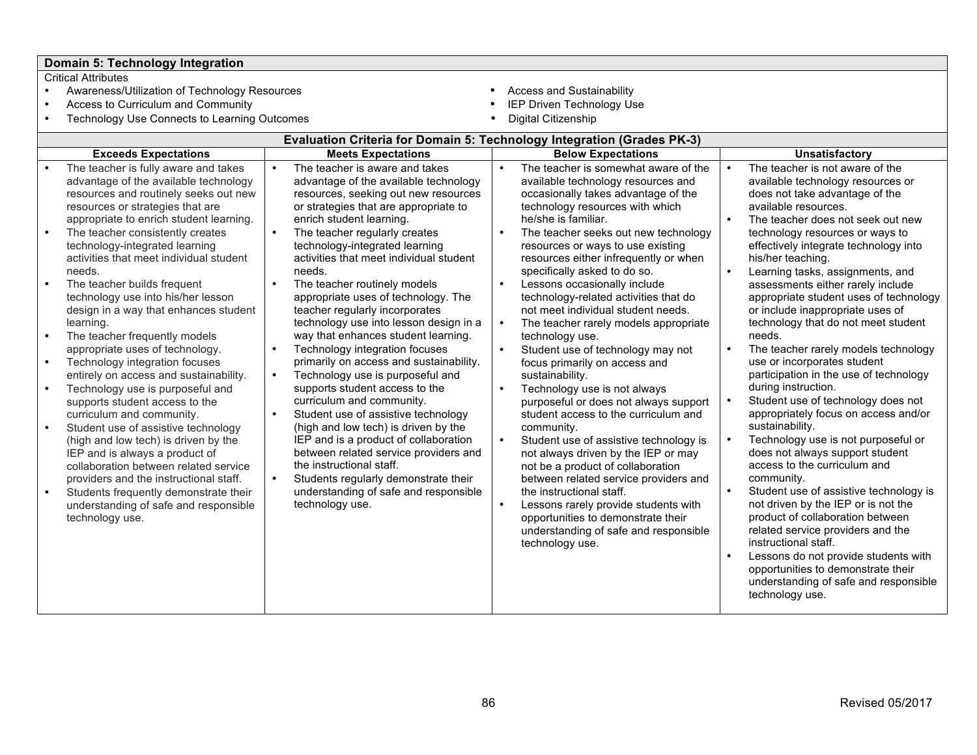# **Domain 5: Technology Integration**

- Awareness/Utilization of Technology Resources Access and Sustainability<br>• Access to Curriculum and Community **Access Access** to Curriculum and Community
- 
- Access to Curriculum and Community IEP Driven Technology Use Technology Use Connects to Learning Outcomes **Digital City City City City**
- -
	-

|                                                                                                                                                                                                                               |                        | <b>Evaluation Criteria for Domain 5: Technology Integration (Grades PK-3)</b>                                                                                                                                                     |           |                                                                                                                                                                                                             |                        |                                                                                                                                                                                                                                                                                                                          |  |  |
|-------------------------------------------------------------------------------------------------------------------------------------------------------------------------------------------------------------------------------|------------------------|-----------------------------------------------------------------------------------------------------------------------------------------------------------------------------------------------------------------------------------|-----------|-------------------------------------------------------------------------------------------------------------------------------------------------------------------------------------------------------------|------------------------|--------------------------------------------------------------------------------------------------------------------------------------------------------------------------------------------------------------------------------------------------------------------------------------------------------------------------|--|--|
| <b>Exceeds Expectations</b>                                                                                                                                                                                                   |                        | <b>Meets Expectations</b>                                                                                                                                                                                                         |           | <b>Below Expectations</b>                                                                                                                                                                                   |                        | <b>Unsatisfactory</b>                                                                                                                                                                                                                                                                                                    |  |  |
| The teacher is fully aware and takes<br>advantage of the available technology<br>resources and routinely seeks out new<br>resources or strategies that are<br>appropriate to enrich student learning.                         | $\bullet$              | The teacher is aware and takes<br>advantage of the available technology<br>resources, seeking out new resources<br>or strategies that are appropriate to<br>enrich student learning.                                              | $\bullet$ | The teacher is somewhat aware of the<br>available technology resources and<br>occasionally takes advantage of the<br>technology resources with which<br>he/she is familiar.                                 |                        | The teacher is not aware of the<br>available technology resources or<br>does not take advantage of the<br>available resources.<br>The teacher does not seek out new                                                                                                                                                      |  |  |
| The teacher consistently creates<br>technology-integrated learning<br>activities that meet individual student<br>needs.                                                                                                       |                        | The teacher regularly creates<br>technology-integrated learning<br>activities that meet individual student<br>needs.                                                                                                              | $\bullet$ | The teacher seeks out new technology<br>resources or ways to use existing<br>resources either infrequently or when<br>specifically asked to do so.                                                          |                        | technology resources or ways to<br>effectively integrate technology into<br>his/her teaching.<br>Learning tasks, assignments, and                                                                                                                                                                                        |  |  |
| The teacher builds frequent<br>technology use into his/her lesson<br>design in a way that enhances student<br>learning.<br>The teacher frequently models                                                                      |                        | The teacher routinely models<br>appropriate uses of technology. The<br>teacher regularly incorporates<br>technology use into lesson design in a<br>way that enhances student learning.                                            | $\bullet$ | Lessons occasionally include<br>technology-related activities that do<br>not meet individual student needs.<br>The teacher rarely models appropriate<br>technology use.                                     |                        | assessments either rarely include<br>appropriate student uses of technology<br>or include inappropriate uses of<br>technology that do not meet student<br>needs.                                                                                                                                                         |  |  |
| appropriate uses of technology.<br>Technology integration focuses<br>entirely on access and sustainability.<br>Technology use is purposeful and<br>supports student access to the                                             | $\bullet$              | Technology integration focuses<br>primarily on access and sustainability.<br>Technology use is purposeful and<br>supports student access to the<br>curriculum and community.                                                      | $\bullet$ | Student use of technology may not<br>focus primarily on access and<br>sustainability.<br>Technology use is not always<br>purposeful or does not always support                                              |                        | The teacher rarely models technology<br>use or incorporates student<br>participation in the use of technology<br>during instruction.<br>Student use of technology does not                                                                                                                                               |  |  |
| curriculum and community.<br>Student use of assistive technology<br>(high and low tech) is driven by the<br>IEP and is always a product of<br>collaboration between related service<br>providers and the instructional staff. | $\bullet$<br>$\bullet$ | Student use of assistive technology<br>(high and low tech) is driven by the<br>IEP and is a product of collaboration<br>between related service providers and<br>the instructional staff.<br>Students regularly demonstrate their | $\bullet$ | student access to the curriculum and<br>community.<br>Student use of assistive technology is<br>not always driven by the IEP or may<br>not be a product of collaboration                                    |                        | appropriately focus on access and/or<br>sustainability.<br>Technology use is not purposeful or<br>does not always support student<br>access to the curriculum and<br>community.                                                                                                                                          |  |  |
| Students frequently demonstrate their<br>understanding of safe and responsible<br>technology use.                                                                                                                             |                        | understanding of safe and responsible<br>technology use.                                                                                                                                                                          |           | between related service providers and<br>the instructional staff.<br>Lessons rarely provide students with<br>opportunities to demonstrate their<br>understanding of safe and responsible<br>technology use. | $\bullet$<br>$\bullet$ | Student use of assistive technology is<br>not driven by the IEP or is not the<br>product of collaboration between<br>related service providers and the<br>instructional staff.<br>Lessons do not provide students with<br>opportunities to demonstrate their<br>understanding of safe and responsible<br>technology use. |  |  |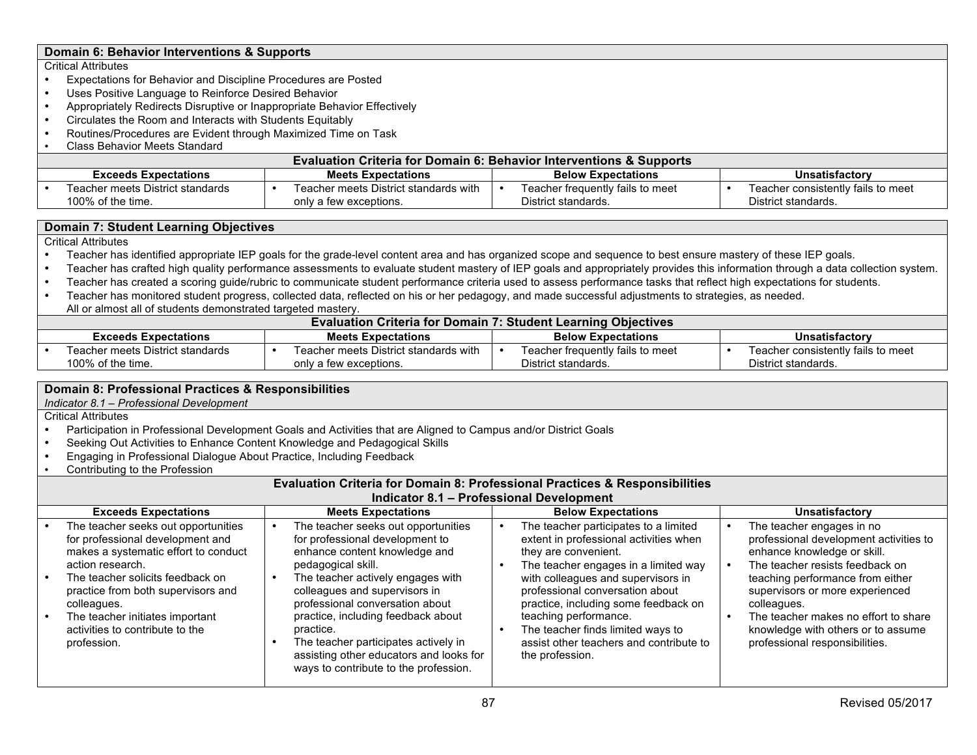### **Domain 6: Behavior Interventions & Supports**

#### Critical Attributes

- Expectations for Behavior and Discipline Procedures are Posted
- Uses Positive Language to Reinforce Desired Behavior
- Appropriately Redirects Disruptive or Inappropriate Behavior Effectively
- Circulates the Room and Interacts with Students Equitably
- Routines/Procedures are Evident through Maximized Time on Task
- Class Behavior Meets Standard

|                                                          | <b>Evaluation Criteria for Domain 6: Behavior Interventions &amp; Supports</b> |  |                                                                 |  |                                                         |                |                                                           |  |  |  |
|----------------------------------------------------------|--------------------------------------------------------------------------------|--|-----------------------------------------------------------------|--|---------------------------------------------------------|----------------|-----------------------------------------------------------|--|--|--|
| <b>Meets Expectations</b><br><b>Exceeds Expectations</b> |                                                                                |  | <b>Below Expectations</b>                                       |  |                                                         | Unsatisfactory |                                                           |  |  |  |
|                                                          | Teacher meets District standards<br>100% of the time.                          |  | Teacher meets District standards with<br>only a few exceptions. |  | Teacher frequently fails to meet<br>District standards. |                | Teacher consistently fails to meet<br>District standards. |  |  |  |

#### **Domain 7: Student Learning Objectives**

Critical Attributes

- Teacher has identified appropriate IEP goals for the grade-level content area and has organized scope and sequence to best ensure mastery of these IEP goals.
- Teacher has crafted high quality performance assessments to evaluate student mastery of IEP goals and appropriately provides this information through a data collection system.<br>• Teacher has created a scoring quide/rubric
- Teacher has created a scoring guide/rubric to communicate student performance criteria used to assess performance tasks that reflect high expectations for students.
- Teacher has monitored student progress, collected data, reflected on his or her pedagogy, and made successful adjustments to strategies, as needed. All or almost all of students demonstrated targeted mastery.

|                                                          | <b>Evaluation Criteria for Domain 7: Student Learning Objectives</b> |  |                                       |                           |                                  |                       |                                    |  |  |  |
|----------------------------------------------------------|----------------------------------------------------------------------|--|---------------------------------------|---------------------------|----------------------------------|-----------------------|------------------------------------|--|--|--|
| <b>Meets Expectations</b><br><b>Exceeds Expectations</b> |                                                                      |  |                                       | <b>Below Expectations</b> |                                  | <b>Unsatisfactory</b> |                                    |  |  |  |
|                                                          | Teacher meets District standards                                     |  | Teacher meets District standards with |                           | Teacher frequently fails to meet |                       | Teacher consistently fails to meet |  |  |  |
|                                                          | 100% of the time.                                                    |  | only a few exceptions.                |                           | District standards.              |                       | District standards.                |  |  |  |

#### **Domain 8: Professional Practices & Responsibilities**

*Indicator 8.1 – Professional Development*

Critical Attributes

- Participation in Professional Development Goals and Activities that are Aligned to Campus and/or District Goals
- Seeking Out Activities to Enhance Content Knowledge and Pedagogical Skills<br>• Engaging in Professional Dialogue About Practice Including Feedback
- Engaging in Professional Dialogue About Practice, Including Feedback
- Contributing to the Profession

#### **Evaluation Criteria for Domain 8: Professional Practices & Responsibilities Indicator 8.1 – Professional Development**

| <b>Exceeds Expectations</b>                                                                                                                                                                                                                                                                                       | <b>Meets Expectations</b>                                                                                                                                                                                                                                                                                                                                                                                             | <b>Below Expectations</b>                                                                                                                                                                                                                                                                                                                                                                    | <b>Unsatisfactory</b>                                                                                                                                                                                                                                                                                                                       |  |  |  |  |  |  |
|-------------------------------------------------------------------------------------------------------------------------------------------------------------------------------------------------------------------------------------------------------------------------------------------------------------------|-----------------------------------------------------------------------------------------------------------------------------------------------------------------------------------------------------------------------------------------------------------------------------------------------------------------------------------------------------------------------------------------------------------------------|----------------------------------------------------------------------------------------------------------------------------------------------------------------------------------------------------------------------------------------------------------------------------------------------------------------------------------------------------------------------------------------------|---------------------------------------------------------------------------------------------------------------------------------------------------------------------------------------------------------------------------------------------------------------------------------------------------------------------------------------------|--|--|--|--|--|--|
| The teacher seeks out opportunities<br>for professional development and<br>makes a systematic effort to conduct<br>action research.<br>The teacher solicits feedback on<br>practice from both supervisors and<br>colleagues.<br>The teacher initiates important<br>activities to contribute to the<br>profession. | The teacher seeks out opportunities<br>for professional development to<br>enhance content knowledge and<br>pedagogical skill.<br>The teacher actively engages with<br>colleagues and supervisors in<br>professional conversation about<br>practice, including feedback about<br>practice.<br>The teacher participates actively in<br>assisting other educators and looks for<br>ways to contribute to the profession. | The teacher participates to a limited<br>extent in professional activities when<br>they are convenient.<br>The teacher engages in a limited way<br>with colleagues and supervisors in<br>professional conversation about<br>practice, including some feedback on<br>teaching performance.<br>The teacher finds limited ways to<br>assist other teachers and contribute to<br>the profession. | The teacher engages in no<br>professional development activities to<br>enhance knowledge or skill.<br>The teacher resists feedback on<br>teaching performance from either<br>supervisors or more experienced<br>colleagues.<br>The teacher makes no effort to share<br>knowledge with others or to assume<br>professional responsibilities. |  |  |  |  |  |  |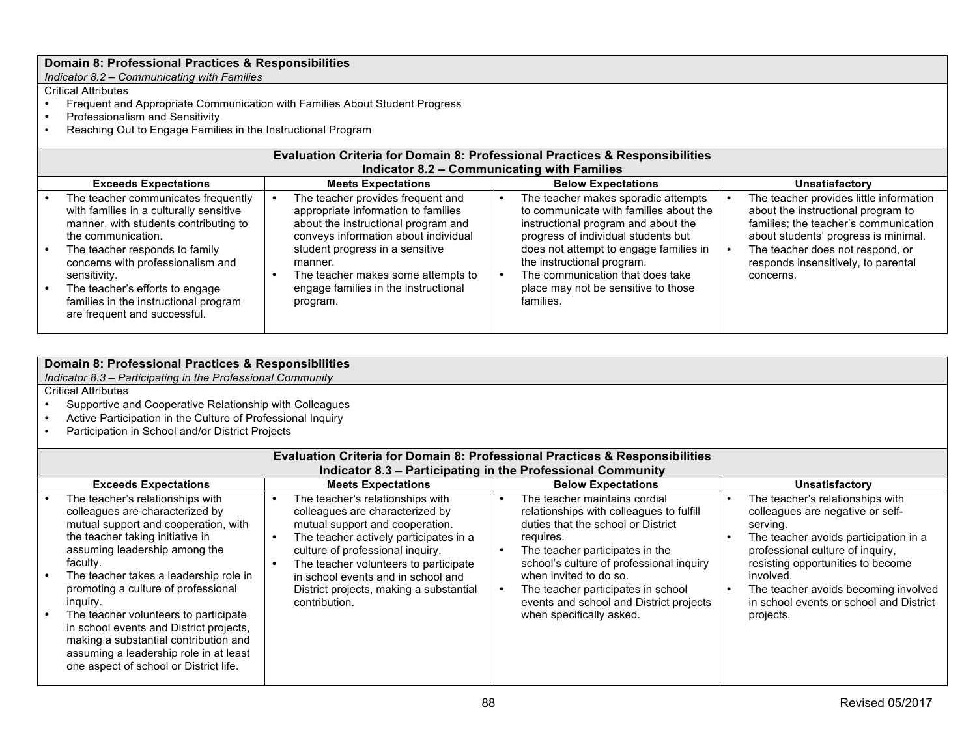*Indicator 8.2 – Communicating with Families*

# Critical Attributes

- Frequent and Appropriate Communication with Families About Student Progress<br>• Professionalism and Sensitivity
- Professionalism and Sensitivity<br>• Reaching Out to Engage Familie
- Reaching Out to Engage Families in the Instructional Program

| <b>Evaluation Criteria for Domain 8: Professional Practices &amp; Responsibilities</b><br>Indicator 8.2 - Communicating with Families                                                                                                                                                                                                            |  |                                                                                                                                                                                                                                                                                                 |                           |                                                                                                                                                                                                                                                                                                                             |  |                                                                                                                                                                                                                                                        |  |  |  |
|--------------------------------------------------------------------------------------------------------------------------------------------------------------------------------------------------------------------------------------------------------------------------------------------------------------------------------------------------|--|-------------------------------------------------------------------------------------------------------------------------------------------------------------------------------------------------------------------------------------------------------------------------------------------------|---------------------------|-----------------------------------------------------------------------------------------------------------------------------------------------------------------------------------------------------------------------------------------------------------------------------------------------------------------------------|--|--------------------------------------------------------------------------------------------------------------------------------------------------------------------------------------------------------------------------------------------------------|--|--|--|
| <b>Exceeds Expectations</b>                                                                                                                                                                                                                                                                                                                      |  | <b>Meets Expectations</b>                                                                                                                                                                                                                                                                       | <b>Below Expectations</b> |                                                                                                                                                                                                                                                                                                                             |  | <b>Unsatisfactory</b>                                                                                                                                                                                                                                  |  |  |  |
| The teacher communicates frequently<br>with families in a culturally sensitive<br>manner, with students contributing to<br>the communication.<br>The teacher responds to family<br>concerns with professionalism and<br>sensitivity.<br>The teacher's efforts to engage<br>families in the instructional program<br>are frequent and successful. |  | The teacher provides frequent and<br>appropriate information to families<br>about the instructional program and<br>conveys information about individual<br>student progress in a sensitive<br>manner.<br>The teacher makes some attempts to<br>engage families in the instructional<br>program. |                           | The teacher makes sporadic attempts<br>to communicate with families about the<br>instructional program and about the<br>progress of individual students but<br>does not attempt to engage families in<br>the instructional program.<br>The communication that does take<br>place may not be sensitive to those<br>families. |  | The teacher provides little information<br>about the instructional program to<br>families; the teacher's communication<br>about students' progress is minimal.<br>The teacher does not respond, or<br>responds insensitively, to parental<br>concerns. |  |  |  |

### **Domain 8: Professional Practices & Responsibilities**

*Indicator 8.3 – Participating in the Professional Community*

- Supportive and Cooperative Relationship with Colleagues<br>• Active Participation in the Culture of Professional Inquiry
- Active Participation in the Culture of Professional Inquiry<br>• Participation in School and/or District Projects
- Participation in School and/or District Projects

|                                                                                                                                                                                                                                                                                                                                                                                                                                                                                                            | <b>Evaluation Criteria for Domain 8: Professional Practices &amp; Responsibilities</b><br>Indicator 8.3 - Participating in the Professional Community |                                                                                                                                                                                                                                                                                                                                 |  |                                                                                                                                                                                                                                                                                                                                                    |  |                                                                                                                                                                                                                                                                                                                 |  |  |  |  |
|------------------------------------------------------------------------------------------------------------------------------------------------------------------------------------------------------------------------------------------------------------------------------------------------------------------------------------------------------------------------------------------------------------------------------------------------------------------------------------------------------------|-------------------------------------------------------------------------------------------------------------------------------------------------------|---------------------------------------------------------------------------------------------------------------------------------------------------------------------------------------------------------------------------------------------------------------------------------------------------------------------------------|--|----------------------------------------------------------------------------------------------------------------------------------------------------------------------------------------------------------------------------------------------------------------------------------------------------------------------------------------------------|--|-----------------------------------------------------------------------------------------------------------------------------------------------------------------------------------------------------------------------------------------------------------------------------------------------------------------|--|--|--|--|
| <b>Exceeds Expectations</b>                                                                                                                                                                                                                                                                                                                                                                                                                                                                                |                                                                                                                                                       | <b>Meets Expectations</b>                                                                                                                                                                                                                                                                                                       |  | <b>Below Expectations</b>                                                                                                                                                                                                                                                                                                                          |  | <b>Unsatisfactory</b>                                                                                                                                                                                                                                                                                           |  |  |  |  |
| The teacher's relationships with<br>colleagues are characterized by<br>mutual support and cooperation, with<br>the teacher taking initiative in<br>assuming leadership among the<br>faculty.<br>The teacher takes a leadership role in<br>promoting a culture of professional<br>inguiry.<br>The teacher volunteers to participate<br>in school events and District projects,<br>making a substantial contribution and<br>assuming a leadership role in at least<br>one aspect of school or District life. |                                                                                                                                                       | The teacher's relationships with<br>colleagues are characterized by<br>mutual support and cooperation.<br>The teacher actively participates in a<br>culture of professional inquiry.<br>The teacher volunteers to participate<br>in school events and in school and<br>District projects, making a substantial<br>contribution. |  | The teacher maintains cordial<br>relationships with colleagues to fulfill<br>duties that the school or District<br>requires.<br>The teacher participates in the<br>school's culture of professional inquiry<br>when invited to do so.<br>The teacher participates in school<br>events and school and District projects<br>when specifically asked. |  | The teacher's relationships with<br>colleagues are negative or self-<br>serving.<br>The teacher avoids participation in a<br>professional culture of inquiry.<br>resisting opportunities to become<br>involved.<br>The teacher avoids becoming involved<br>in school events or school and District<br>projects. |  |  |  |  |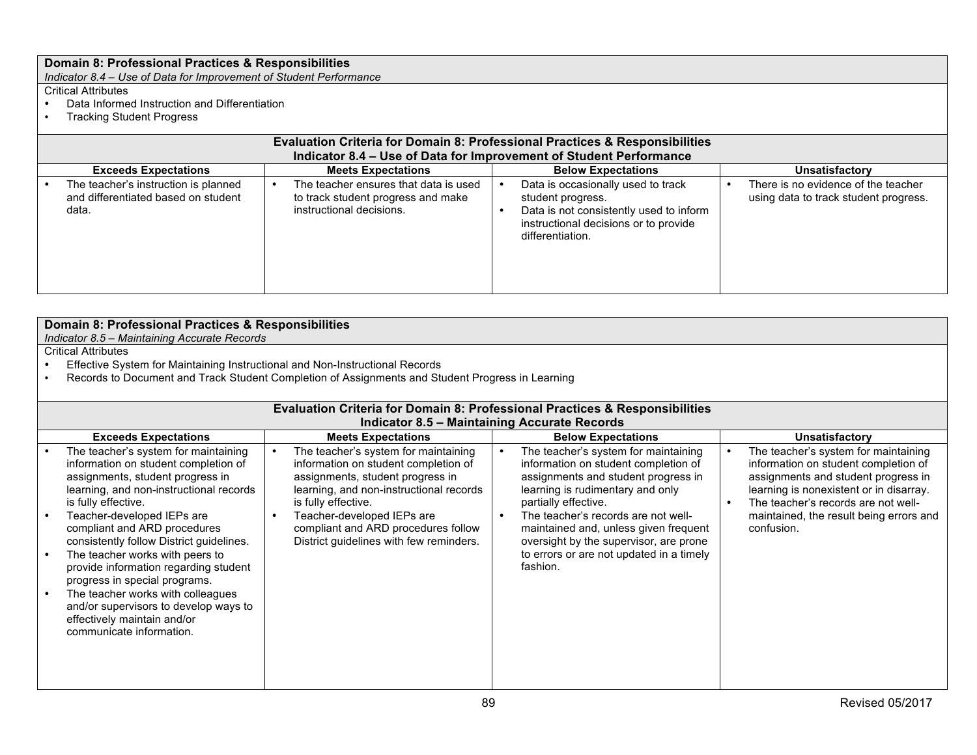*Indicator 8.4 – Use of Data for Improvement of Student Performance*

- Data Informed Instruction and Differentiation<br>• Tracking Student Progress
- Tracking Student Progress

| <b>Evaluation Criteria for Domain 8: Professional Practices &amp; Responsibilities</b> |  |                                                                                                         |  |                                                                                                                                                                 |  |                                                                              |  |  |  |
|----------------------------------------------------------------------------------------|--|---------------------------------------------------------------------------------------------------------|--|-----------------------------------------------------------------------------------------------------------------------------------------------------------------|--|------------------------------------------------------------------------------|--|--|--|
| Indicator 8.4 - Use of Data for Improvement of Student Performance                     |  |                                                                                                         |  |                                                                                                                                                                 |  |                                                                              |  |  |  |
| <b>Exceeds Expectations</b>                                                            |  | <b>Meets Expectations</b>                                                                               |  | <b>Below Expectations</b>                                                                                                                                       |  | <b>Unsatisfactory</b>                                                        |  |  |  |
| The teacher's instruction is planned<br>and differentiated based on student<br>data.   |  | The teacher ensures that data is used<br>to track student progress and make<br>instructional decisions. |  | Data is occasionally used to track<br>student progress.<br>Data is not consistently used to inform<br>instructional decisions or to provide<br>differentiation. |  | There is no evidence of the teacher<br>using data to track student progress. |  |  |  |

| Domain 8: Professional Practices & Responsibilities                                                                                                                                                                                                                                                                                                                                                                                                                                                                                                |                                                                                                                                                                                                                                                                                                    |                                                                                                                                                                                                                                                                                                                                                                   |                                                                                                                                                                                                                                                                |  |  |  |  |
|----------------------------------------------------------------------------------------------------------------------------------------------------------------------------------------------------------------------------------------------------------------------------------------------------------------------------------------------------------------------------------------------------------------------------------------------------------------------------------------------------------------------------------------------------|----------------------------------------------------------------------------------------------------------------------------------------------------------------------------------------------------------------------------------------------------------------------------------------------------|-------------------------------------------------------------------------------------------------------------------------------------------------------------------------------------------------------------------------------------------------------------------------------------------------------------------------------------------------------------------|----------------------------------------------------------------------------------------------------------------------------------------------------------------------------------------------------------------------------------------------------------------|--|--|--|--|
| Indicator 8.5 - Maintaining Accurate Records                                                                                                                                                                                                                                                                                                                                                                                                                                                                                                       |                                                                                                                                                                                                                                                                                                    |                                                                                                                                                                                                                                                                                                                                                                   |                                                                                                                                                                                                                                                                |  |  |  |  |
| <b>Critical Attributes</b>                                                                                                                                                                                                                                                                                                                                                                                                                                                                                                                         |                                                                                                                                                                                                                                                                                                    |                                                                                                                                                                                                                                                                                                                                                                   |                                                                                                                                                                                                                                                                |  |  |  |  |
| Effective System for Maintaining Instructional and Non-Instructional Records                                                                                                                                                                                                                                                                                                                                                                                                                                                                       |                                                                                                                                                                                                                                                                                                    |                                                                                                                                                                                                                                                                                                                                                                   |                                                                                                                                                                                                                                                                |  |  |  |  |
| Records to Document and Track Student Completion of Assignments and Student Progress in Learning                                                                                                                                                                                                                                                                                                                                                                                                                                                   |                                                                                                                                                                                                                                                                                                    |                                                                                                                                                                                                                                                                                                                                                                   |                                                                                                                                                                                                                                                                |  |  |  |  |
| <b>Evaluation Criteria for Domain 8: Professional Practices &amp; Responsibilities</b>                                                                                                                                                                                                                                                                                                                                                                                                                                                             |                                                                                                                                                                                                                                                                                                    |                                                                                                                                                                                                                                                                                                                                                                   |                                                                                                                                                                                                                                                                |  |  |  |  |
|                                                                                                                                                                                                                                                                                                                                                                                                                                                                                                                                                    | <b>Indicator 8.5 - Maintaining Accurate Records</b>                                                                                                                                                                                                                                                |                                                                                                                                                                                                                                                                                                                                                                   |                                                                                                                                                                                                                                                                |  |  |  |  |
| <b>Exceeds Expectations</b>                                                                                                                                                                                                                                                                                                                                                                                                                                                                                                                        | <b>Meets Expectations</b>                                                                                                                                                                                                                                                                          | <b>Below Expectations</b>                                                                                                                                                                                                                                                                                                                                         | Unsatisfactory                                                                                                                                                                                                                                                 |  |  |  |  |
| The teacher's system for maintaining<br>information on student completion of<br>assignments, student progress in<br>learning, and non-instructional records<br>is fully effective.<br>Teacher-developed IEPs are<br>compliant and ARD procedures<br>consistently follow District guidelines.<br>The teacher works with peers to<br>provide information regarding student<br>progress in special programs.<br>The teacher works with colleagues<br>and/or supervisors to develop ways to<br>effectively maintain and/or<br>communicate information. | The teacher's system for maintaining<br>information on student completion of<br>assignments, student progress in<br>learning, and non-instructional records<br>is fully effective.<br>Teacher-developed IEPs are<br>compliant and ARD procedures follow<br>District guidelines with few reminders. | The teacher's system for maintaining<br>information on student completion of<br>assignments and student progress in<br>learning is rudimentary and only<br>partially effective.<br>The teacher's records are not well-<br>maintained and, unless given frequent<br>oversight by the supervisor, are prone<br>to errors or are not updated in a timely<br>fashion. | The teacher's system for maintaining<br>information on student completion of<br>assignments and student progress in<br>learning is nonexistent or in disarray.<br>The teacher's records are not well-<br>maintained, the result being errors and<br>confusion. |  |  |  |  |